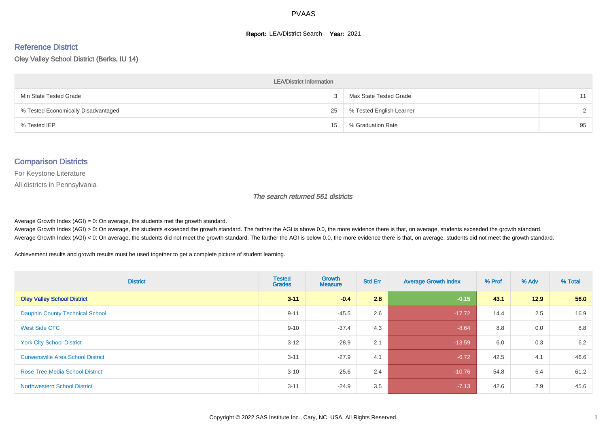#### **Report: LEA/District Search Year: 2021**

# Reference District

Oley Valley School District (Berks, IU 14)

| <b>LEA/District Information</b>     |    |                          |               |  |  |  |  |  |  |
|-------------------------------------|----|--------------------------|---------------|--|--|--|--|--|--|
| Min State Tested Grade              |    | Max State Tested Grade   | 11            |  |  |  |  |  |  |
| % Tested Economically Disadvantaged | 25 | % Tested English Learner | $\mathcal{D}$ |  |  |  |  |  |  |
| % Tested IEP                        | 15 | % Graduation Rate        | 95            |  |  |  |  |  |  |

#### Comparison Districts

For Keystone Literature

All districts in Pennsylvania

The search returned 561 districts

Average Growth Index  $(AGI) = 0$ : On average, the students met the growth standard.

Average Growth Index (AGI) > 0: On average, the students exceeded the growth standard. The farther the AGI is above 0.0, the more evidence there is that, on average, students exceeded the growth standard. Average Growth Index (AGI) < 0: On average, the students did not meet the growth standard. The farther the AGI is below 0.0, the more evidence there is that, on average, students did not meet the growth standard.

Achievement results and growth results must be used together to get a complete picture of student learning.

| <b>District</b>                          | <b>Tested</b><br><b>Grades</b> | <b>Growth</b><br><b>Measure</b> | <b>Std Err</b> | <b>Average Growth Index</b> | % Prof | % Adv | % Total |
|------------------------------------------|--------------------------------|---------------------------------|----------------|-----------------------------|--------|-------|---------|
| <b>Oley Valley School District</b>       | $3 - 11$                       | $-0.4$                          | 2.8            | $-0.15$                     | 43.1   | 12.9  | 56.0    |
| <b>Dauphin County Technical School</b>   | $9 - 11$                       | $-45.5$                         | 2.6            | $-17.72$                    | 14.4   | 2.5   | 16.9    |
| <b>West Side CTC</b>                     | $9 - 10$                       | $-37.4$                         | 4.3            | $-8.64$                     | 8.8    | 0.0   | 8.8     |
| <b>York City School District</b>         | $3 - 12$                       | $-28.9$                         | 2.1            | $-13.59$                    | 6.0    | 0.3   | 6.2     |
| <b>Curwensville Area School District</b> | $3 - 11$                       | $-27.9$                         | 4.1            | $-6.72$                     | 42.5   | 4.1   | 46.6    |
| <b>Rose Tree Media School District</b>   | $3 - 10$                       | $-25.6$                         | 2.4            | $-10.76$                    | 54.8   | 6.4   | 61.2    |
| <b>Northwestern School District</b>      | $3 - 11$                       | $-24.9$                         | 3.5            | $-7.13$                     | 42.6   | 2.9   | 45.6    |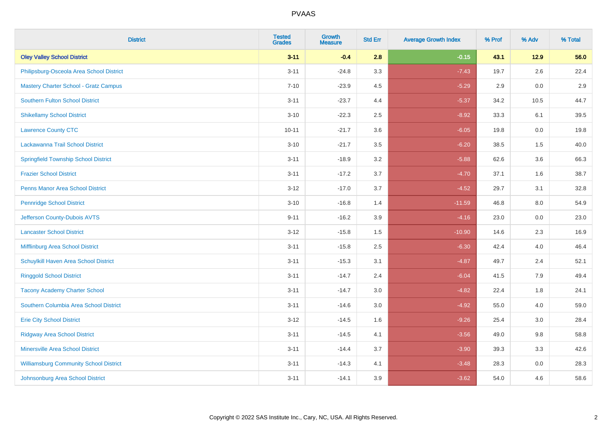| <b>District</b>                               | <b>Tested</b><br><b>Grades</b> | <b>Growth</b><br><b>Measure</b> | <b>Std Err</b> | <b>Average Growth Index</b> | % Prof | % Adv  | % Total |
|-----------------------------------------------|--------------------------------|---------------------------------|----------------|-----------------------------|--------|--------|---------|
| <b>Oley Valley School District</b>            | $3 - 11$                       | $-0.4$                          | 2.8            | $-0.15$                     | 43.1   | $12.9$ | 56.0    |
| Philipsburg-Osceola Area School District      | $3 - 11$                       | $-24.8$                         | 3.3            | $-7.43$                     | 19.7   | 2.6    | 22.4    |
| <b>Mastery Charter School - Gratz Campus</b>  | $7 - 10$                       | $-23.9$                         | 4.5            | $-5.29$                     | 2.9    | 0.0    | 2.9     |
| <b>Southern Fulton School District</b>        | $3 - 11$                       | $-23.7$                         | 4.4            | $-5.37$                     | 34.2   | 10.5   | 44.7    |
| <b>Shikellamy School District</b>             | $3 - 10$                       | $-22.3$                         | 2.5            | $-8.92$                     | 33.3   | 6.1    | 39.5    |
| <b>Lawrence County CTC</b>                    | $10 - 11$                      | $-21.7$                         | 3.6            | $-6.05$                     | 19.8   | 0.0    | 19.8    |
| Lackawanna Trail School District              | $3 - 10$                       | $-21.7$                         | 3.5            | $-6.20$                     | 38.5   | 1.5    | 40.0    |
| <b>Springfield Township School District</b>   | $3 - 11$                       | $-18.9$                         | 3.2            | $-5.88$                     | 62.6   | 3.6    | 66.3    |
| <b>Frazier School District</b>                | $3 - 11$                       | $-17.2$                         | 3.7            | $-4.70$                     | 37.1   | 1.6    | 38.7    |
| <b>Penns Manor Area School District</b>       | $3 - 12$                       | $-17.0$                         | 3.7            | $-4.52$                     | 29.7   | 3.1    | 32.8    |
| <b>Pennridge School District</b>              | $3 - 10$                       | $-16.8$                         | 1.4            | $-11.59$                    | 46.8   | 8.0    | 54.9    |
| Jefferson County-Dubois AVTS                  | $9 - 11$                       | $-16.2$                         | 3.9            | $-4.16$                     | 23.0   | 0.0    | 23.0    |
| <b>Lancaster School District</b>              | $3 - 12$                       | $-15.8$                         | $1.5$          | $-10.90$                    | 14.6   | 2.3    | 16.9    |
| Mifflinburg Area School District              | $3 - 11$                       | $-15.8$                         | 2.5            | $-6.30$                     | 42.4   | 4.0    | 46.4    |
| Schuylkill Haven Area School District         | $3 - 11$                       | $-15.3$                         | 3.1            | $-4.87$                     | 49.7   | 2.4    | 52.1    |
| <b>Ringgold School District</b>               | $3 - 11$                       | $-14.7$                         | 2.4            | $-6.04$                     | 41.5   | 7.9    | 49.4    |
| <b>Tacony Academy Charter School</b>          | $3 - 11$                       | $-14.7$                         | 3.0            | $-4.82$                     | 22.4   | 1.8    | 24.1    |
| Southern Columbia Area School District        | $3 - 11$                       | $-14.6$                         | 3.0            | $-4.92$                     | 55.0   | 4.0    | 59.0    |
| <b>Erie City School District</b>              | $3 - 12$                       | $-14.5$                         | 1.6            | $-9.26$                     | 25.4   | 3.0    | 28.4    |
| <b>Ridgway Area School District</b>           | $3 - 11$                       | $-14.5$                         | 4.1            | $-3.56$                     | 49.0   | 9.8    | 58.8    |
| <b>Minersville Area School District</b>       | $3 - 11$                       | $-14.4$                         | 3.7            | $-3.90$                     | 39.3   | 3.3    | 42.6    |
| <b>Williamsburg Community School District</b> | $3 - 11$                       | $-14.3$                         | 4.1            | $-3.48$                     | 28.3   | 0.0    | 28.3    |
| Johnsonburg Area School District              | $3 - 11$                       | $-14.1$                         | 3.9            | $-3.62$                     | 54.0   | 4.6    | 58.6    |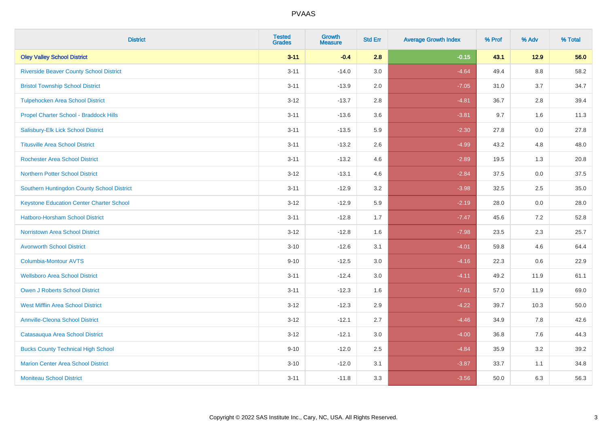| <b>District</b>                                 | <b>Tested</b><br><b>Grades</b> | <b>Growth</b><br><b>Measure</b> | <b>Std Err</b> | <b>Average Growth Index</b> | % Prof | % Adv   | % Total |
|-------------------------------------------------|--------------------------------|---------------------------------|----------------|-----------------------------|--------|---------|---------|
| <b>Oley Valley School District</b>              | $3 - 11$                       | $-0.4$                          | 2.8            | $-0.15$                     | 43.1   | $12.9$  | 56.0    |
| <b>Riverside Beaver County School District</b>  | $3 - 11$                       | $-14.0$                         | 3.0            | $-4.64$                     | 49.4   | $8.8\,$ | 58.2    |
| <b>Bristol Township School District</b>         | $3 - 11$                       | $-13.9$                         | 2.0            | $-7.05$                     | 31.0   | 3.7     | 34.7    |
| <b>Tulpehocken Area School District</b>         | $3 - 12$                       | $-13.7$                         | 2.8            | $-4.81$                     | 36.7   | 2.8     | 39.4    |
| Propel Charter School - Braddock Hills          | $3 - 11$                       | $-13.6$                         | 3.6            | $-3.81$                     | 9.7    | 1.6     | 11.3    |
| Salisbury-Elk Lick School District              | $3 - 11$                       | $-13.5$                         | 5.9            | $-2.30$                     | 27.8   | 0.0     | 27.8    |
| <b>Titusville Area School District</b>          | $3 - 11$                       | $-13.2$                         | 2.6            | $-4.99$                     | 43.2   | 4.8     | 48.0    |
| <b>Rochester Area School District</b>           | $3 - 11$                       | $-13.2$                         | 4.6            | $-2.89$                     | 19.5   | 1.3     | 20.8    |
| <b>Northern Potter School District</b>          | $3 - 12$                       | $-13.1$                         | 4.6            | $-2.84$                     | 37.5   | 0.0     | 37.5    |
| Southern Huntingdon County School District      | $3 - 11$                       | $-12.9$                         | 3.2            | $-3.98$                     | 32.5   | 2.5     | 35.0    |
| <b>Keystone Education Center Charter School</b> | $3 - 12$                       | $-12.9$                         | 5.9            | $-2.19$                     | 28.0   | 0.0     | 28.0    |
| <b>Hatboro-Horsham School District</b>          | $3 - 11$                       | $-12.8$                         | 1.7            | $-7.47$                     | 45.6   | 7.2     | 52.8    |
| <b>Norristown Area School District</b>          | $3 - 12$                       | $-12.8$                         | 1.6            | $-7.98$                     | 23.5   | 2.3     | 25.7    |
| <b>Avonworth School District</b>                | $3 - 10$                       | $-12.6$                         | 3.1            | $-4.01$                     | 59.8   | 4.6     | 64.4    |
| <b>Columbia-Montour AVTS</b>                    | $9 - 10$                       | $-12.5$                         | 3.0            | $-4.16$                     | 22.3   | 0.6     | 22.9    |
| <b>Wellsboro Area School District</b>           | $3 - 11$                       | $-12.4$                         | 3.0            | $-4.11$                     | 49.2   | 11.9    | 61.1    |
| Owen J Roberts School District                  | $3 - 11$                       | $-12.3$                         | 1.6            | $-7.61$                     | 57.0   | 11.9    | 69.0    |
| <b>West Mifflin Area School District</b>        | $3 - 12$                       | $-12.3$                         | 2.9            | $-4.22$                     | 39.7   | 10.3    | 50.0    |
| <b>Annville-Cleona School District</b>          | $3 - 12$                       | $-12.1$                         | 2.7            | $-4.46$                     | 34.9   | 7.8     | 42.6    |
| Catasauqua Area School District                 | $3 - 12$                       | $-12.1$                         | 3.0            | $-4.00$                     | 36.8   | 7.6     | 44.3    |
| <b>Bucks County Technical High School</b>       | $9 - 10$                       | $-12.0$                         | 2.5            | $-4.84$                     | 35.9   | 3.2     | 39.2    |
| <b>Marion Center Area School District</b>       | $3 - 10$                       | $-12.0$                         | 3.1            | $-3.87$                     | 33.7   | 1.1     | 34.8    |
| <b>Moniteau School District</b>                 | $3 - 11$                       | $-11.8$                         | 3.3            | $-3.56$                     | 50.0   | 6.3     | 56.3    |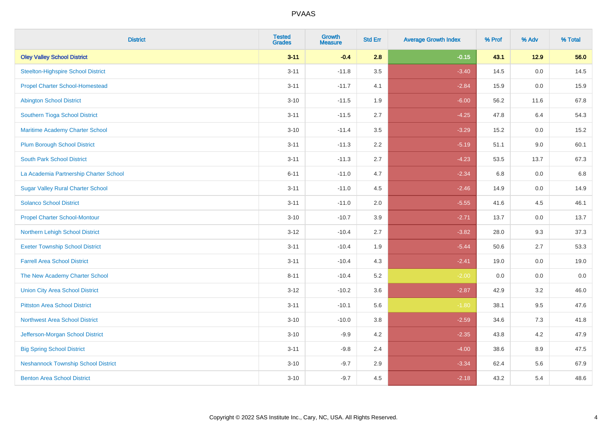| <b>District</b>                            | <b>Tested</b><br><b>Grades</b> | <b>Growth</b><br><b>Measure</b> | <b>Std Err</b> | <b>Average Growth Index</b> | % Prof | % Adv   | % Total |
|--------------------------------------------|--------------------------------|---------------------------------|----------------|-----------------------------|--------|---------|---------|
| <b>Oley Valley School District</b>         | $3 - 11$                       | $-0.4$                          | 2.8            | $-0.15$                     | 43.1   | $12.9$  | 56.0    |
| <b>Steelton-Highspire School District</b>  | $3 - 11$                       | $-11.8$                         | 3.5            | $-3.40$                     | 14.5   | $0.0\,$ | 14.5    |
| <b>Propel Charter School-Homestead</b>     | $3 - 11$                       | $-11.7$                         | 4.1            | $-2.84$                     | 15.9   | 0.0     | 15.9    |
| <b>Abington School District</b>            | $3 - 10$                       | $-11.5$                         | 1.9            | $-6.00$                     | 56.2   | 11.6    | 67.8    |
| Southern Tioga School District             | $3 - 11$                       | $-11.5$                         | 2.7            | $-4.25$                     | 47.8   | 6.4     | 54.3    |
| Maritime Academy Charter School            | $3 - 10$                       | $-11.4$                         | 3.5            | $-3.29$                     | 15.2   | 0.0     | 15.2    |
| <b>Plum Borough School District</b>        | $3 - 11$                       | $-11.3$                         | 2.2            | $-5.19$                     | 51.1   | 9.0     | 60.1    |
| <b>South Park School District</b>          | $3 - 11$                       | $-11.3$                         | 2.7            | $-4.23$                     | 53.5   | 13.7    | 67.3    |
| La Academia Partnership Charter School     | $6 - 11$                       | $-11.0$                         | 4.7            | $-2.34$                     | 6.8    | 0.0     | 6.8     |
| <b>Sugar Valley Rural Charter School</b>   | $3 - 11$                       | $-11.0$                         | 4.5            | $-2.46$                     | 14.9   | 0.0     | 14.9    |
| <b>Solanco School District</b>             | $3 - 11$                       | $-11.0$                         | 2.0            | $-5.55$                     | 41.6   | 4.5     | 46.1    |
| <b>Propel Charter School-Montour</b>       | $3 - 10$                       | $-10.7$                         | 3.9            | $-2.71$                     | 13.7   | 0.0     | 13.7    |
| Northern Lehigh School District            | $3 - 12$                       | $-10.4$                         | 2.7            | $-3.82$                     | 28.0   | 9.3     | 37.3    |
| <b>Exeter Township School District</b>     | $3 - 11$                       | $-10.4$                         | 1.9            | $-5.44$                     | 50.6   | 2.7     | 53.3    |
| <b>Farrell Area School District</b>        | $3 - 11$                       | $-10.4$                         | 4.3            | $-2.41$                     | 19.0   | 0.0     | 19.0    |
| The New Academy Charter School             | $8 - 11$                       | $-10.4$                         | 5.2            | $-2.00$                     | 0.0    | 0.0     | 0.0     |
| <b>Union City Area School District</b>     | $3 - 12$                       | $-10.2$                         | 3.6            | $-2.87$                     | 42.9   | 3.2     | 46.0    |
| <b>Pittston Area School District</b>       | $3 - 11$                       | $-10.1$                         | 5.6            | $-1.80$                     | 38.1   | 9.5     | 47.6    |
| <b>Northwest Area School District</b>      | $3 - 10$                       | $-10.0$                         | 3.8            | $-2.59$                     | 34.6   | 7.3     | 41.8    |
| Jefferson-Morgan School District           | $3 - 10$                       | $-9.9$                          | 4.2            | $-2.35$                     | 43.8   | 4.2     | 47.9    |
| <b>Big Spring School District</b>          | $3 - 11$                       | $-9.8$                          | 2.4            | $-4.00$                     | 38.6   | 8.9     | 47.5    |
| <b>Neshannock Township School District</b> | $3 - 10$                       | $-9.7$                          | 2.9            | $-3.34$                     | 62.4   | 5.6     | 67.9    |
| <b>Benton Area School District</b>         | $3 - 10$                       | $-9.7$                          | 4.5            | $-2.18$                     | 43.2   | 5.4     | 48.6    |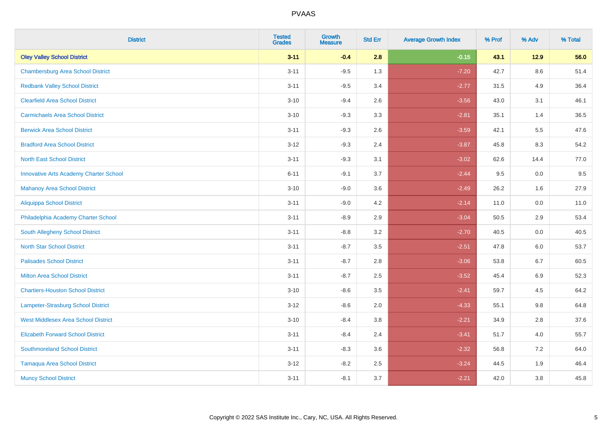| <b>District</b>                               | <b>Tested</b><br><b>Grades</b> | <b>Growth</b><br><b>Measure</b> | <b>Std Err</b> | <b>Average Growth Index</b> | % Prof | % Adv  | % Total |
|-----------------------------------------------|--------------------------------|---------------------------------|----------------|-----------------------------|--------|--------|---------|
| <b>Oley Valley School District</b>            | $3 - 11$                       | $-0.4$                          | 2.8            | $-0.15$                     | 43.1   | $12.9$ | 56.0    |
| <b>Chambersburg Area School District</b>      | $3 - 11$                       | $-9.5$                          | 1.3            | $-7.20$                     | 42.7   | 8.6    | 51.4    |
| <b>Redbank Valley School District</b>         | $3 - 11$                       | $-9.5$                          | 3.4            | $-2.77$                     | 31.5   | 4.9    | 36.4    |
| <b>Clearfield Area School District</b>        | $3 - 10$                       | $-9.4$                          | 2.6            | $-3.56$                     | 43.0   | 3.1    | 46.1    |
| <b>Carmichaels Area School District</b>       | $3 - 10$                       | $-9.3$                          | 3.3            | $-2.81$                     | 35.1   | 1.4    | 36.5    |
| <b>Berwick Area School District</b>           | $3 - 11$                       | $-9.3$                          | 2.6            | $-3.59$                     | 42.1   | 5.5    | 47.6    |
| <b>Bradford Area School District</b>          | $3 - 12$                       | $-9.3$                          | 2.4            | $-3.87$                     | 45.8   | 8.3    | 54.2    |
| <b>North East School District</b>             | $3 - 11$                       | $-9.3$                          | 3.1            | $-3.02$                     | 62.6   | 14.4   | 77.0    |
| <b>Innovative Arts Academy Charter School</b> | $6 - 11$                       | $-9.1$                          | 3.7            | $-2.44$                     | 9.5    | 0.0    | 9.5     |
| <b>Mahanoy Area School District</b>           | $3 - 10$                       | $-9.0$                          | 3.6            | $-2.49$                     | 26.2   | 1.6    | 27.9    |
| <b>Aliquippa School District</b>              | $3 - 11$                       | $-9.0$                          | 4.2            | $-2.14$                     | 11.0   | 0.0    | 11.0    |
| Philadelphia Academy Charter School           | $3 - 11$                       | $-8.9$                          | 2.9            | $-3.04$                     | 50.5   | 2.9    | 53.4    |
| South Allegheny School District               | $3 - 11$                       | $-8.8$                          | 3.2            | $-2.70$                     | 40.5   | 0.0    | 40.5    |
| <b>North Star School District</b>             | $3 - 11$                       | $-8.7$                          | 3.5            | $-2.51$                     | 47.8   | 6.0    | 53.7    |
| <b>Palisades School District</b>              | $3 - 11$                       | $-8.7$                          | 2.8            | $-3.06$                     | 53.8   | 6.7    | 60.5    |
| <b>Milton Area School District</b>            | $3 - 11$                       | $-8.7$                          | 2.5            | $-3.52$                     | 45.4   | 6.9    | 52.3    |
| <b>Chartiers-Houston School District</b>      | $3 - 10$                       | $-8.6$                          | 3.5            | $-2.41$                     | 59.7   | 4.5    | 64.2    |
| Lampeter-Strasburg School District            | $3 - 12$                       | $-8.6$                          | 2.0            | $-4.33$                     | 55.1   | 9.8    | 64.8    |
| <b>West Middlesex Area School District</b>    | $3 - 10$                       | $-8.4$                          | 3.8            | $-2.21$                     | 34.9   | 2.8    | 37.6    |
| <b>Elizabeth Forward School District</b>      | $3 - 11$                       | $-8.4$                          | 2.4            | $-3.41$                     | 51.7   | 4.0    | 55.7    |
| <b>Southmoreland School District</b>          | $3 - 11$                       | $-8.3$                          | 3.6            | $-2.32$                     | 56.8   | 7.2    | 64.0    |
| <b>Tamaqua Area School District</b>           | $3 - 12$                       | $-8.2$                          | 2.5            | $-3.24$                     | 44.5   | 1.9    | 46.4    |
| <b>Muncy School District</b>                  | $3 - 11$                       | $-8.1$                          | 3.7            | $-2.21$                     | 42.0   | 3.8    | 45.8    |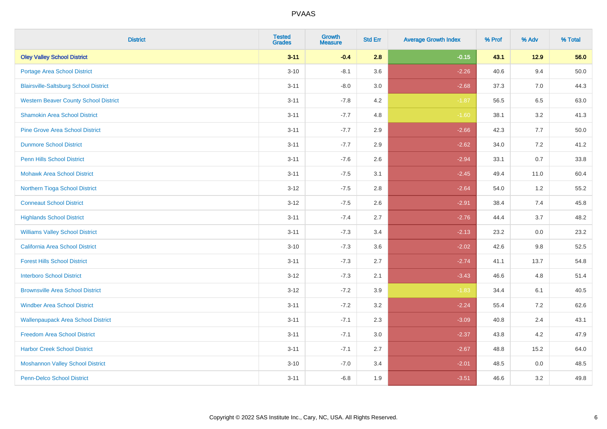| <b>District</b>                              | <b>Tested</b><br><b>Grades</b> | <b>Growth</b><br><b>Measure</b> | <b>Std Err</b> | <b>Average Growth Index</b> | % Prof | % Adv   | % Total  |
|----------------------------------------------|--------------------------------|---------------------------------|----------------|-----------------------------|--------|---------|----------|
| <b>Oley Valley School District</b>           | $3 - 11$                       | $-0.4$                          | 2.8            | $-0.15$                     | 43.1   | 12.9    | 56.0     |
| Portage Area School District                 | $3 - 10$                       | $-8.1$                          | 3.6            | $-2.26$                     | 40.6   | 9.4     | $50.0\,$ |
| <b>Blairsville-Saltsburg School District</b> | $3 - 11$                       | $-8.0$                          | 3.0            | $-2.68$                     | 37.3   | 7.0     | 44.3     |
| <b>Western Beaver County School District</b> | $3 - 11$                       | $-7.8$                          | 4.2            | $-1.87$                     | 56.5   | 6.5     | 63.0     |
| <b>Shamokin Area School District</b>         | $3 - 11$                       | $-7.7$                          | 4.8            | $-1.60$                     | 38.1   | 3.2     | 41.3     |
| <b>Pine Grove Area School District</b>       | $3 - 11$                       | $-7.7$                          | 2.9            | $-2.66$                     | 42.3   | 7.7     | 50.0     |
| <b>Dunmore School District</b>               | $3 - 11$                       | $-7.7$                          | 2.9            | $-2.62$                     | 34.0   | 7.2     | 41.2     |
| <b>Penn Hills School District</b>            | $3 - 11$                       | $-7.6$                          | 2.6            | $-2.94$                     | 33.1   | 0.7     | 33.8     |
| <b>Mohawk Area School District</b>           | $3 - 11$                       | $-7.5$                          | 3.1            | $-2.45$                     | 49.4   | 11.0    | 60.4     |
| Northern Tioga School District               | $3 - 12$                       | $-7.5$                          | 2.8            | $-2.64$                     | 54.0   | 1.2     | 55.2     |
| <b>Conneaut School District</b>              | $3 - 12$                       | $-7.5$                          | 2.6            | $-2.91$                     | 38.4   | 7.4     | 45.8     |
| <b>Highlands School District</b>             | $3 - 11$                       | $-7.4$                          | 2.7            | $-2.76$                     | 44.4   | 3.7     | 48.2     |
| <b>Williams Valley School District</b>       | $3 - 11$                       | $-7.3$                          | 3.4            | $-2.13$                     | 23.2   | 0.0     | 23.2     |
| <b>California Area School District</b>       | $3 - 10$                       | $-7.3$                          | 3.6            | $-2.02$                     | 42.6   | 9.8     | 52.5     |
| <b>Forest Hills School District</b>          | $3 - 11$                       | $-7.3$                          | 2.7            | $-2.74$                     | 41.1   | 13.7    | 54.8     |
| <b>Interboro School District</b>             | $3 - 12$                       | $-7.3$                          | 2.1            | $-3.43$                     | 46.6   | 4.8     | 51.4     |
| <b>Brownsville Area School District</b>      | $3 - 12$                       | $-7.2$                          | 3.9            | $-1.83$                     | 34.4   | 6.1     | 40.5     |
| <b>Windber Area School District</b>          | $3 - 11$                       | $-7.2$                          | 3.2            | $-2.24$                     | 55.4   | 7.2     | 62.6     |
| <b>Wallenpaupack Area School District</b>    | $3 - 11$                       | $-7.1$                          | 2.3            | $-3.09$                     | 40.8   | 2.4     | 43.1     |
| <b>Freedom Area School District</b>          | $3 - 11$                       | $-7.1$                          | 3.0            | $-2.37$                     | 43.8   | 4.2     | 47.9     |
| <b>Harbor Creek School District</b>          | $3 - 11$                       | $-7.1$                          | 2.7            | $-2.67$                     | 48.8   | 15.2    | 64.0     |
| <b>Moshannon Valley School District</b>      | $3 - 10$                       | $-7.0$                          | 3.4            | $-2.01$                     | 48.5   | $0.0\,$ | 48.5     |
| <b>Penn-Delco School District</b>            | $3 - 11$                       | $-6.8$                          | 1.9            | $-3.51$                     | 46.6   | 3.2     | 49.8     |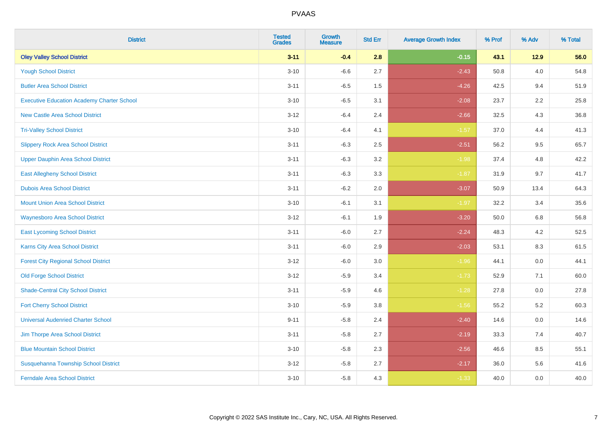| <b>District</b>                                   | <b>Tested</b><br><b>Grades</b> | <b>Growth</b><br><b>Measure</b> | <b>Std Err</b> | <b>Average Growth Index</b> | % Prof | % Adv   | % Total |
|---------------------------------------------------|--------------------------------|---------------------------------|----------------|-----------------------------|--------|---------|---------|
| <b>Oley Valley School District</b>                | $3 - 11$                       | $-0.4$                          | 2.8            | $-0.15$                     | 43.1   | 12.9    | 56.0    |
| <b>Yough School District</b>                      | $3 - 10$                       | $-6.6$                          | 2.7            | $-2.43$                     | 50.8   | 4.0     | 54.8    |
| <b>Butler Area School District</b>                | $3 - 11$                       | $-6.5$                          | 1.5            | $-4.26$                     | 42.5   | 9.4     | 51.9    |
| <b>Executive Education Academy Charter School</b> | $3 - 10$                       | $-6.5$                          | 3.1            | $-2.08$                     | 23.7   | 2.2     | 25.8    |
| <b>New Castle Area School District</b>            | $3-12$                         | $-6.4$                          | 2.4            | $-2.66$                     | 32.5   | 4.3     | 36.8    |
| <b>Tri-Valley School District</b>                 | $3 - 10$                       | $-6.4$                          | 4.1            | $-1.57$                     | 37.0   | 4.4     | 41.3    |
| <b>Slippery Rock Area School District</b>         | $3 - 11$                       | $-6.3$                          | 2.5            | $-2.51$                     | 56.2   | 9.5     | 65.7    |
| <b>Upper Dauphin Area School District</b>         | $3 - 11$                       | $-6.3$                          | 3.2            | $-1.98$                     | 37.4   | 4.8     | 42.2    |
| <b>East Allegheny School District</b>             | $3 - 11$                       | $-6.3$                          | 3.3            | $-1.87$                     | 31.9   | 9.7     | 41.7    |
| <b>Dubois Area School District</b>                | $3 - 11$                       | $-6.2$                          | 2.0            | $-3.07$                     | 50.9   | 13.4    | 64.3    |
| <b>Mount Union Area School District</b>           | $3 - 10$                       | $-6.1$                          | 3.1            | $-1.97$                     | 32.2   | 3.4     | 35.6    |
| <b>Waynesboro Area School District</b>            | $3-12$                         | $-6.1$                          | 1.9            | $-3.20$                     | 50.0   | 6.8     | 56.8    |
| <b>East Lycoming School District</b>              | $3 - 11$                       | $-6.0$                          | 2.7            | $-2.24$                     | 48.3   | 4.2     | 52.5    |
| Karns City Area School District                   | $3 - 11$                       | $-6.0$                          | 2.9            | $-2.03$                     | 53.1   | 8.3     | 61.5    |
| <b>Forest City Regional School District</b>       | $3 - 12$                       | $-6.0$                          | $3.0\,$        | $-1.96$                     | 44.1   | $0.0\,$ | 44.1    |
| <b>Old Forge School District</b>                  | $3 - 12$                       | $-5.9$                          | 3.4            | $-1.73$                     | 52.9   | 7.1     | 60.0    |
| <b>Shade-Central City School District</b>         | $3 - 11$                       | $-5.9$                          | 4.6            | $-1.28$                     | 27.8   | 0.0     | 27.8    |
| <b>Fort Cherry School District</b>                | $3 - 10$                       | $-5.9$                          | 3.8            | $-1.56$                     | 55.2   | 5.2     | 60.3    |
| <b>Universal Audenried Charter School</b>         | $9 - 11$                       | $-5.8$                          | 2.4            | $-2.40$                     | 14.6   | $0.0\,$ | 14.6    |
| Jim Thorpe Area School District                   | $3 - 11$                       | $-5.8$                          | 2.7            | $-2.19$                     | 33.3   | 7.4     | 40.7    |
| <b>Blue Mountain School District</b>              | $3 - 10$                       | $-5.8$                          | 2.3            | $-2.56$                     | 46.6   | 8.5     | 55.1    |
| Susquehanna Township School District              | $3 - 12$                       | $-5.8$                          | 2.7            | $-2.17$                     | 36.0   | 5.6     | 41.6    |
| <b>Ferndale Area School District</b>              | $3 - 10$                       | $-5.8$                          | 4.3            | $-1.33$                     | 40.0   | 0.0     | 40.0    |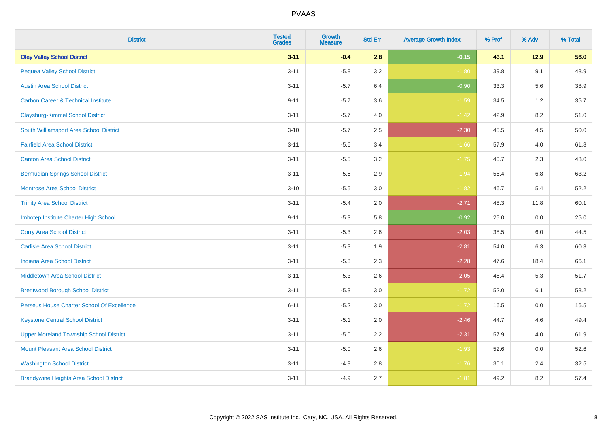| <b>District</b>                                | <b>Tested</b><br><b>Grades</b> | <b>Growth</b><br><b>Measure</b> | <b>Std Err</b> | <b>Average Growth Index</b> | % Prof | % Adv   | % Total |
|------------------------------------------------|--------------------------------|---------------------------------|----------------|-----------------------------|--------|---------|---------|
| <b>Oley Valley School District</b>             | $3 - 11$                       | $-0.4$                          | 2.8            | $-0.15$                     | 43.1   | $12.9$  | 56.0    |
| <b>Pequea Valley School District</b>           | $3 - 11$                       | $-5.8$                          | 3.2            | $-1.80$                     | 39.8   | 9.1     | 48.9    |
| <b>Austin Area School District</b>             | $3 - 11$                       | $-5.7$                          | 6.4            | $-0.90$                     | 33.3   | 5.6     | 38.9    |
| <b>Carbon Career &amp; Technical Institute</b> | $9 - 11$                       | $-5.7$                          | 3.6            | $-1.59$                     | 34.5   | $1.2\,$ | 35.7    |
| <b>Claysburg-Kimmel School District</b>        | $3 - 11$                       | $-5.7$                          | 4.0            | $-1.42$                     | 42.9   | 8.2     | 51.0    |
| South Williamsport Area School District        | $3 - 10$                       | $-5.7$                          | 2.5            | $-2.30$                     | 45.5   | 4.5     | 50.0    |
| <b>Fairfield Area School District</b>          | $3 - 11$                       | $-5.6$                          | 3.4            | $-1.66$                     | 57.9   | 4.0     | 61.8    |
| <b>Canton Area School District</b>             | $3 - 11$                       | $-5.5$                          | 3.2            | $-1.75$                     | 40.7   | 2.3     | 43.0    |
| <b>Bermudian Springs School District</b>       | $3 - 11$                       | $-5.5$                          | 2.9            | $-1.94$                     | 56.4   | 6.8     | 63.2    |
| <b>Montrose Area School District</b>           | $3 - 10$                       | $-5.5$                          | 3.0            | $-1.82$                     | 46.7   | 5.4     | 52.2    |
| <b>Trinity Area School District</b>            | $3 - 11$                       | $-5.4$                          | 2.0            | $-2.71$                     | 48.3   | 11.8    | 60.1    |
| Imhotep Institute Charter High School          | $9 - 11$                       | $-5.3$                          | 5.8            | $-0.92$                     | 25.0   | 0.0     | 25.0    |
| <b>Corry Area School District</b>              | $3 - 11$                       | $-5.3$                          | 2.6            | $-2.03$                     | 38.5   | 6.0     | 44.5    |
| <b>Carlisle Area School District</b>           | $3 - 11$                       | $-5.3$                          | 1.9            | $-2.81$                     | 54.0   | 6.3     | 60.3    |
| <b>Indiana Area School District</b>            | $3 - 11$                       | $-5.3$                          | 2.3            | $-2.28$                     | 47.6   | 18.4    | 66.1    |
| <b>Middletown Area School District</b>         | $3 - 11$                       | $-5.3$                          | 2.6            | $-2.05$                     | 46.4   | 5.3     | 51.7    |
| <b>Brentwood Borough School District</b>       | $3 - 11$                       | $-5.3$                          | 3.0            | $-1.72$                     | 52.0   | 6.1     | 58.2    |
| Perseus House Charter School Of Excellence     | $6 - 11$                       | $-5.2$                          | 3.0            | $-1.72$                     | 16.5   | 0.0     | 16.5    |
| <b>Keystone Central School District</b>        | $3 - 11$                       | $-5.1$                          | 2.0            | $-2.46$                     | 44.7   | 4.6     | 49.4    |
| <b>Upper Moreland Township School District</b> | $3 - 11$                       | $-5.0$                          | 2.2            | $-2.31$                     | 57.9   | 4.0     | 61.9    |
| <b>Mount Pleasant Area School District</b>     | $3 - 11$                       | $-5.0$                          | 2.6            | $-1.93$                     | 52.6   | 0.0     | 52.6    |
| <b>Washington School District</b>              | $3 - 11$                       | $-4.9$                          | 2.8            | $-1.76$                     | 30.1   | 2.4     | 32.5    |
| <b>Brandywine Heights Area School District</b> | $3 - 11$                       | $-4.9$                          | 2.7            | $-1.81$                     | 49.2   | 8.2     | 57.4    |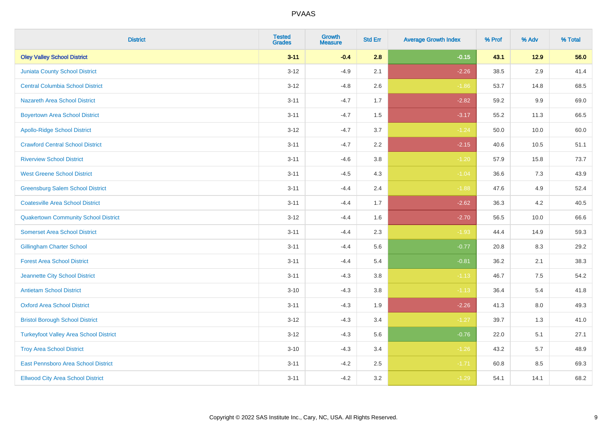| <b>District</b>                               | <b>Tested</b><br><b>Grades</b> | <b>Growth</b><br><b>Measure</b> | <b>Std Err</b> | <b>Average Growth Index</b> | % Prof | % Adv   | % Total |
|-----------------------------------------------|--------------------------------|---------------------------------|----------------|-----------------------------|--------|---------|---------|
| <b>Oley Valley School District</b>            | $3 - 11$                       | $-0.4$                          | 2.8            | $-0.15$                     | 43.1   | 12.9    | 56.0    |
| <b>Juniata County School District</b>         | $3 - 12$                       | $-4.9$                          | 2.1            | $-2.26$                     | 38.5   | $2.9\,$ | 41.4    |
| <b>Central Columbia School District</b>       | $3 - 12$                       | $-4.8$                          | 2.6            | $-1.86$                     | 53.7   | 14.8    | 68.5    |
| <b>Nazareth Area School District</b>          | $3 - 11$                       | $-4.7$                          | 1.7            | $-2.82$                     | 59.2   | $9.9\,$ | 69.0    |
| <b>Boyertown Area School District</b>         | $3 - 11$                       | $-4.7$                          | 1.5            | $-3.17$                     | 55.2   | 11.3    | 66.5    |
| <b>Apollo-Ridge School District</b>           | $3 - 12$                       | $-4.7$                          | 3.7            | $-1.24$                     | 50.0   | 10.0    | 60.0    |
| <b>Crawford Central School District</b>       | $3 - 11$                       | $-4.7$                          | 2.2            | $-2.15$                     | 40.6   | 10.5    | 51.1    |
| <b>Riverview School District</b>              | $3 - 11$                       | $-4.6$                          | 3.8            | $-1.20$                     | 57.9   | 15.8    | 73.7    |
| <b>West Greene School District</b>            | $3 - 11$                       | $-4.5$                          | 4.3            | $-1.04$                     | 36.6   | 7.3     | 43.9    |
| <b>Greensburg Salem School District</b>       | $3 - 11$                       | $-4.4$                          | 2.4            | $-1.88$                     | 47.6   | 4.9     | 52.4    |
| <b>Coatesville Area School District</b>       | $3 - 11$                       | $-4.4$                          | 1.7            | $-2.62$                     | 36.3   | 4.2     | 40.5    |
| <b>Quakertown Community School District</b>   | $3 - 12$                       | $-4.4$                          | 1.6            | $-2.70$                     | 56.5   | 10.0    | 66.6    |
| <b>Somerset Area School District</b>          | $3 - 11$                       | $-4.4$                          | 2.3            | $-1.93$                     | 44.4   | 14.9    | 59.3    |
| <b>Gillingham Charter School</b>              | $3 - 11$                       | $-4.4$                          | 5.6            | $-0.77$                     | 20.8   | 8.3     | 29.2    |
| <b>Forest Area School District</b>            | $3 - 11$                       | $-4.4$                          | 5.4            | $-0.81$                     | 36.2   | 2.1     | 38.3    |
| Jeannette City School District                | $3 - 11$                       | $-4.3$                          | 3.8            | $-1.13$                     | 46.7   | $7.5\,$ | 54.2    |
| <b>Antietam School District</b>               | $3 - 10$                       | $-4.3$                          | 3.8            | $-1.13$                     | 36.4   | $5.4$   | 41.8    |
| <b>Oxford Area School District</b>            | $3 - 11$                       | $-4.3$                          | 1.9            | $-2.26$                     | 41.3   | 8.0     | 49.3    |
| <b>Bristol Borough School District</b>        | $3 - 12$                       | $-4.3$                          | 3.4            | $-1.27$                     | 39.7   | 1.3     | 41.0    |
| <b>Turkeyfoot Valley Area School District</b> | $3 - 12$                       | $-4.3$                          | 5.6            | $-0.76$                     | 22.0   | 5.1     | 27.1    |
| <b>Troy Area School District</b>              | $3 - 10$                       | $-4.3$                          | 3.4            | $-1.26$                     | 43.2   | 5.7     | 48.9    |
| East Pennsboro Area School District           | $3 - 11$                       | $-4.2$                          | 2.5            | $-1.71$                     | 60.8   | 8.5     | 69.3    |
| <b>Ellwood City Area School District</b>      | $3 - 11$                       | $-4.2$                          | 3.2            | $-1.29$                     | 54.1   | 14.1    | 68.2    |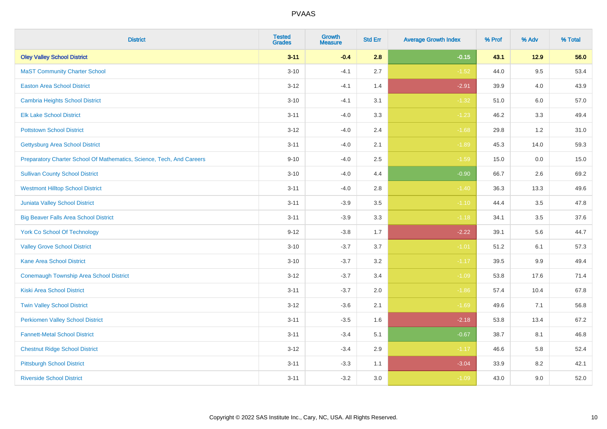| <b>District</b>                                                       | <b>Tested</b><br><b>Grades</b> | <b>Growth</b><br><b>Measure</b> | <b>Std Err</b> | <b>Average Growth Index</b> | % Prof | % Adv   | % Total |
|-----------------------------------------------------------------------|--------------------------------|---------------------------------|----------------|-----------------------------|--------|---------|---------|
| <b>Oley Valley School District</b>                                    | $3 - 11$                       | $-0.4$                          | 2.8            | $-0.15$                     | 43.1   | $12.9$  | 56.0    |
| <b>MaST Community Charter School</b>                                  | $3 - 10$                       | $-4.1$                          | 2.7            | $-1.52$                     | 44.0   | 9.5     | 53.4    |
| <b>Easton Area School District</b>                                    | $3 - 12$                       | $-4.1$                          | 1.4            | $-2.91$                     | 39.9   | 4.0     | 43.9    |
| <b>Cambria Heights School District</b>                                | $3 - 10$                       | $-4.1$                          | 3.1            | $-1.32$                     | 51.0   | $6.0\,$ | 57.0    |
| <b>Elk Lake School District</b>                                       | $3 - 11$                       | $-4.0$                          | 3.3            | $-1.23$                     | 46.2   | 3.3     | 49.4    |
| <b>Pottstown School District</b>                                      | $3 - 12$                       | $-4.0$                          | 2.4            | $-1.68$                     | 29.8   | 1.2     | 31.0    |
| <b>Gettysburg Area School District</b>                                | $3 - 11$                       | $-4.0$                          | 2.1            | $-1.89$                     | 45.3   | 14.0    | 59.3    |
| Preparatory Charter School Of Mathematics, Science, Tech, And Careers | $9 - 10$                       | $-4.0$                          | 2.5            | $-1.59$                     | 15.0   | 0.0     | 15.0    |
| <b>Sullivan County School District</b>                                | $3 - 10$                       | $-4.0$                          | 4.4            | $-0.90$                     | 66.7   | 2.6     | 69.2    |
| <b>Westmont Hilltop School District</b>                               | $3 - 11$                       | $-4.0$                          | 2.8            | $-1.40$                     | 36.3   | 13.3    | 49.6    |
| <b>Juniata Valley School District</b>                                 | $3 - 11$                       | $-3.9$                          | 3.5            | $-1.10$                     | 44.4   | 3.5     | 47.8    |
| <b>Big Beaver Falls Area School District</b>                          | $3 - 11$                       | $-3.9$                          | 3.3            | $-1.18$                     | 34.1   | 3.5     | 37.6    |
| <b>York Co School Of Technology</b>                                   | $9 - 12$                       | $-3.8$                          | 1.7            | $-2.22$                     | 39.1   | 5.6     | 44.7    |
| <b>Valley Grove School District</b>                                   | $3 - 10$                       | $-3.7$                          | 3.7            | $-1.01$                     | 51.2   | 6.1     | 57.3    |
| <b>Kane Area School District</b>                                      | $3 - 10$                       | $-3.7$                          | 3.2            | $-1.17$                     | 39.5   | $9.9\,$ | 49.4    |
| <b>Conemaugh Township Area School District</b>                        | $3 - 12$                       | $-3.7$                          | 3.4            | $-1.09$                     | 53.8   | 17.6    | 71.4    |
| <b>Kiski Area School District</b>                                     | $3 - 11$                       | $-3.7$                          | 2.0            | $-1.86$                     | 57.4   | 10.4    | 67.8    |
| <b>Twin Valley School District</b>                                    | $3 - 12$                       | $-3.6$                          | 2.1            | $-1.69$                     | 49.6   | 7.1     | 56.8    |
| <b>Perkiomen Valley School District</b>                               | $3 - 11$                       | $-3.5$                          | 1.6            | $-2.18$                     | 53.8   | 13.4    | 67.2    |
| <b>Fannett-Metal School District</b>                                  | $3 - 11$                       | $-3.4$                          | 5.1            | $-0.67$                     | 38.7   | 8.1     | 46.8    |
| <b>Chestnut Ridge School District</b>                                 | $3 - 12$                       | $-3.4$                          | 2.9            | $-1.17$                     | 46.6   | 5.8     | 52.4    |
| <b>Pittsburgh School District</b>                                     | $3 - 11$                       | $-3.3$                          | 1.1            | $-3.04$                     | 33.9   | 8.2     | 42.1    |
| <b>Riverside School District</b>                                      | $3 - 11$                       | $-3.2$                          | 3.0            | $-1.09$                     | 43.0   | 9.0     | 52.0    |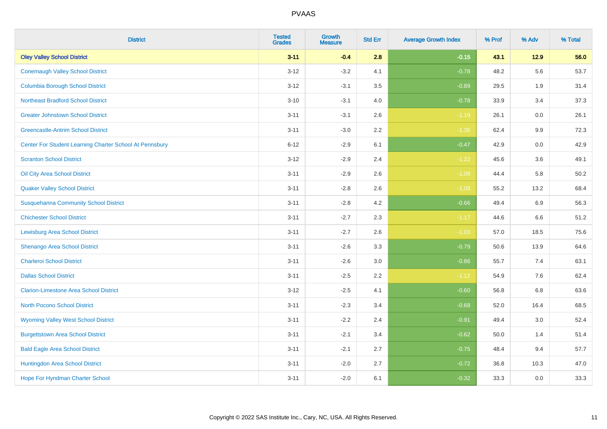| <b>District</b>                                         | <b>Tested</b><br><b>Grades</b> | <b>Growth</b><br><b>Measure</b> | <b>Std Err</b> | <b>Average Growth Index</b> | % Prof | % Adv   | % Total |
|---------------------------------------------------------|--------------------------------|---------------------------------|----------------|-----------------------------|--------|---------|---------|
| <b>Oley Valley School District</b>                      | $3 - 11$                       | $-0.4$                          | 2.8            | $-0.15$                     | 43.1   | $12.9$  | 56.0    |
| <b>Conemaugh Valley School District</b>                 | $3 - 12$                       | $-3.2$                          | 4.1            | $-0.78$                     | 48.2   | 5.6     | 53.7    |
| <b>Columbia Borough School District</b>                 | $3 - 12$                       | $-3.1$                          | 3.5            | $-0.89$                     | 29.5   | 1.9     | 31.4    |
| <b>Northeast Bradford School District</b>               | $3 - 10$                       | $-3.1$                          | 4.0            | $-0.78$                     | 33.9   | 3.4     | 37.3    |
| <b>Greater Johnstown School District</b>                | $3 - 11$                       | $-3.1$                          | 2.6            | $-1.19$                     | 26.1   | 0.0     | 26.1    |
| <b>Greencastle-Antrim School District</b>               | $3 - 11$                       | $-3.0$                          | 2.2            | $-1.36$                     | 62.4   | $9.9\,$ | 72.3    |
| Center For Student Learning Charter School At Pennsbury | $6 - 12$                       | $-2.9$                          | 6.1            | $-0.47$                     | 42.9   | $0.0\,$ | 42.9    |
| <b>Scranton School District</b>                         | $3 - 12$                       | $-2.9$                          | 2.4            | $-1.22$                     | 45.6   | 3.6     | 49.1    |
| Oil City Area School District                           | $3 - 11$                       | $-2.9$                          | 2.6            | $-1.08$                     | 44.4   | 5.8     | 50.2    |
| <b>Quaker Valley School District</b>                    | $3 - 11$                       | $-2.8$                          | $2.6\,$        | $-1.08$                     | 55.2   | 13.2    | 68.4    |
| <b>Susquehanna Community School District</b>            | $3 - 11$                       | $-2.8$                          | 4.2            | $-0.66$                     | 49.4   | 6.9     | 56.3    |
| <b>Chichester School District</b>                       | $3 - 11$                       | $-2.7$                          | 2.3            | $-1.17$                     | 44.6   | 6.6     | 51.2    |
| <b>Lewisburg Area School District</b>                   | $3 - 11$                       | $-2.7$                          | 2.6            | $-1.03$                     | 57.0   | 18.5    | 75.6    |
| Shenango Area School District                           | $3 - 11$                       | $-2.6$                          | 3.3            | $-0.79$                     | 50.6   | 13.9    | 64.6    |
| <b>Charleroi School District</b>                        | $3 - 11$                       | $-2.6$                          | 3.0            | $-0.86$                     | 55.7   | 7.4     | 63.1    |
| <b>Dallas School District</b>                           | $3 - 11$                       | $-2.5$                          | 2.2            | $-1.12$                     | 54.9   | 7.6     | 62.4    |
| <b>Clarion-Limestone Area School District</b>           | $3 - 12$                       | $-2.5$                          | 4.1            | $-0.60$                     | 56.8   | 6.8     | 63.6    |
| North Pocono School District                            | $3 - 11$                       | $-2.3$                          | 3.4            | $-0.68$                     | 52.0   | 16.4    | 68.5    |
| <b>Wyoming Valley West School District</b>              | $3 - 11$                       | $-2.2$                          | 2.4            | $-0.91$                     | 49.4   | 3.0     | 52.4    |
| <b>Burgettstown Area School District</b>                | $3 - 11$                       | $-2.1$                          | 3.4            | $-0.62$                     | 50.0   | 1.4     | 51.4    |
| <b>Bald Eagle Area School District</b>                  | $3 - 11$                       | $-2.1$                          | 2.7            | $-0.75$                     | 48.4   | 9.4     | 57.7    |
| Huntingdon Area School District                         | $3 - 11$                       | $-2.0$                          | 2.7            | $-0.72$                     | 36.8   | 10.3    | 47.0    |
| <b>Hope For Hyndman Charter School</b>                  | $3 - 11$                       | $-2.0$                          | 6.1            | $-0.32$                     | 33.3   | 0.0     | 33.3    |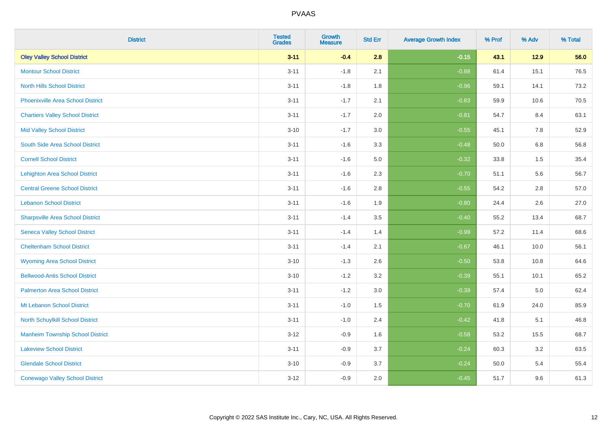| <b>District</b>                          | <b>Tested</b><br><b>Grades</b> | <b>Growth</b><br><b>Measure</b> | <b>Std Err</b> | <b>Average Growth Index</b> | % Prof | % Adv   | % Total |
|------------------------------------------|--------------------------------|---------------------------------|----------------|-----------------------------|--------|---------|---------|
| <b>Oley Valley School District</b>       | $3 - 11$                       | $-0.4$                          | 2.8            | $-0.15$                     | 43.1   | 12.9    | 56.0    |
| <b>Montour School District</b>           | $3 - 11$                       | $-1.8$                          | 2.1            | $-0.88$                     | 61.4   | 15.1    | 76.5    |
| <b>North Hills School District</b>       | $3 - 11$                       | $-1.8$                          | 1.8            | $-0.96$                     | 59.1   | 14.1    | 73.2    |
| <b>Phoenixville Area School District</b> | $3 - 11$                       | $-1.7$                          | 2.1            | $-0.83$                     | 59.9   | 10.6    | 70.5    |
| <b>Chartiers Valley School District</b>  | $3 - 11$                       | $-1.7$                          | 2.0            | $-0.81$                     | 54.7   | 8.4     | 63.1    |
| <b>Mid Valley School District</b>        | $3 - 10$                       | $-1.7$                          | 3.0            | $-0.55$                     | 45.1   | 7.8     | 52.9    |
| South Side Area School District          | $3 - 11$                       | $-1.6$                          | 3.3            | $-0.48$                     | 50.0   | $6.8\,$ | 56.8    |
| <b>Cornell School District</b>           | $3 - 11$                       | $-1.6$                          | $5.0\,$        | $-0.32$                     | 33.8   | 1.5     | 35.4    |
| <b>Lehighton Area School District</b>    | $3 - 11$                       | $-1.6$                          | 2.3            | $-0.70$                     | 51.1   | 5.6     | 56.7    |
| <b>Central Greene School District</b>    | $3 - 11$                       | $-1.6$                          | 2.8            | $-0.55$                     | 54.2   | 2.8     | 57.0    |
| <b>Lebanon School District</b>           | $3 - 11$                       | $-1.6$                          | 1.9            | $-0.80$                     | 24.4   | 2.6     | 27.0    |
| <b>Sharpsville Area School District</b>  | $3 - 11$                       | $-1.4$                          | 3.5            | $-0.40$                     | 55.2   | 13.4    | 68.7    |
| <b>Seneca Valley School District</b>     | $3 - 11$                       | $-1.4$                          | 1.4            | $-0.99$                     | 57.2   | 11.4    | 68.6    |
| <b>Cheltenham School District</b>        | $3 - 11$                       | $-1.4$                          | 2.1            | $-0.67$                     | 46.1   | 10.0    | 56.1    |
| <b>Wyoming Area School District</b>      | $3 - 10$                       | $-1.3$                          | 2.6            | $-0.50$                     | 53.8   | 10.8    | 64.6    |
| <b>Bellwood-Antis School District</b>    | $3 - 10$                       | $-1.2$                          | 3.2            | $-0.39$                     | 55.1   | 10.1    | 65.2    |
| <b>Palmerton Area School District</b>    | $3 - 11$                       | $-1.2$                          | 3.0            | $-0.39$                     | 57.4   | 5.0     | 62.4    |
| Mt Lebanon School District               | $3 - 11$                       | $-1.0$                          | 1.5            | $-0.70$                     | 61.9   | 24.0    | 85.9    |
| <b>North Schuylkill School District</b>  | $3 - 11$                       | $-1.0$                          | 2.4            | $-0.42$                     | 41.8   | 5.1     | 46.8    |
| <b>Manheim Township School District</b>  | $3 - 12$                       | $-0.9$                          | 1.6            | $-0.58$                     | 53.2   | 15.5    | 68.7    |
| <b>Lakeview School District</b>          | $3 - 11$                       | $-0.9$                          | 3.7            | $-0.24$                     | 60.3   | 3.2     | 63.5    |
| <b>Glendale School District</b>          | $3 - 10$                       | $-0.9$                          | 3.7            | $-0.24$                     | 50.0   | 5.4     | 55.4    |
| <b>Conewago Valley School District</b>   | $3-12$                         | $-0.9$                          | 2.0            | $-0.45$                     | 51.7   | 9.6     | 61.3    |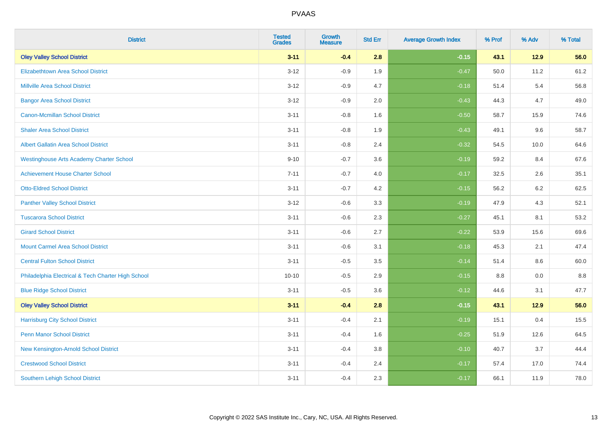| <b>District</b>                                    | <b>Tested</b><br><b>Grades</b> | <b>Growth</b><br><b>Measure</b> | <b>Std Err</b> | <b>Average Growth Index</b> | % Prof | % Adv  | % Total |
|----------------------------------------------------|--------------------------------|---------------------------------|----------------|-----------------------------|--------|--------|---------|
| <b>Oley Valley School District</b>                 | $3 - 11$                       | $-0.4$                          | 2.8            | $-0.15$                     | 43.1   | $12.9$ | 56.0    |
| Elizabethtown Area School District                 | $3 - 12$                       | $-0.9$                          | 1.9            | $-0.47$                     | 50.0   | 11.2   | 61.2    |
| <b>Millville Area School District</b>              | $3 - 12$                       | $-0.9$                          | 4.7            | $-0.18$                     | 51.4   | 5.4    | 56.8    |
| <b>Bangor Area School District</b>                 | $3 - 12$                       | $-0.9$                          | 2.0            | $-0.43$                     | 44.3   | 4.7    | 49.0    |
| <b>Canon-Mcmillan School District</b>              | $3 - 11$                       | $-0.8$                          | 1.6            | $-0.50$                     | 58.7   | 15.9   | 74.6    |
| <b>Shaler Area School District</b>                 | $3 - 11$                       | $-0.8$                          | 1.9            | $-0.43$                     | 49.1   | 9.6    | 58.7    |
| Albert Gallatin Area School District               | $3 - 11$                       | $-0.8$                          | 2.4            | $-0.32$                     | 54.5   | 10.0   | 64.6    |
| <b>Westinghouse Arts Academy Charter School</b>    | $9 - 10$                       | $-0.7$                          | 3.6            | $-0.19$                     | 59.2   | 8.4    | 67.6    |
| <b>Achievement House Charter School</b>            | $7 - 11$                       | $-0.7$                          | 4.0            | $-0.17$                     | 32.5   | 2.6    | 35.1    |
| <b>Otto-Eldred School District</b>                 | $3 - 11$                       | $-0.7$                          | 4.2            | $-0.15$                     | 56.2   | 6.2    | 62.5    |
| <b>Panther Valley School District</b>              | $3 - 12$                       | $-0.6$                          | 3.3            | $-0.19$                     | 47.9   | 4.3    | 52.1    |
| <b>Tuscarora School District</b>                   | $3 - 11$                       | $-0.6$                          | 2.3            | $-0.27$                     | 45.1   | 8.1    | 53.2    |
| <b>Girard School District</b>                      | $3 - 11$                       | $-0.6$                          | 2.7            | $-0.22$                     | 53.9   | 15.6   | 69.6    |
| <b>Mount Carmel Area School District</b>           | $3 - 11$                       | $-0.6$                          | 3.1            | $-0.18$                     | 45.3   | 2.1    | 47.4    |
| <b>Central Fulton School District</b>              | $3 - 11$                       | $-0.5$                          | 3.5            | $-0.14$                     | 51.4   | 8.6    | 60.0    |
| Philadelphia Electrical & Tech Charter High School | $10 - 10$                      | $-0.5$                          | 2.9            | $-0.15$                     | 8.8    | 0.0    | 8.8     |
| <b>Blue Ridge School District</b>                  | $3 - 11$                       | $-0.5$                          | 3.6            | $-0.12$                     | 44.6   | 3.1    | 47.7    |
| <b>Oley Valley School District</b>                 | $3 - 11$                       | $-0.4$                          | 2.8            | $-0.15$                     | 43.1   | 12.9   | 56.0    |
| <b>Harrisburg City School District</b>             | $3 - 11$                       | $-0.4$                          | 2.1            | $-0.19$                     | 15.1   | 0.4    | 15.5    |
| <b>Penn Manor School District</b>                  | $3 - 11$                       | $-0.4$                          | 1.6            | $-0.25$                     | 51.9   | 12.6   | 64.5    |
| New Kensington-Arnold School District              | $3 - 11$                       | $-0.4$                          | 3.8            | $-0.10$                     | 40.7   | 3.7    | 44.4    |
| <b>Crestwood School District</b>                   | $3 - 11$                       | $-0.4$                          | 2.4            | $-0.17$                     | 57.4   | 17.0   | 74.4    |
| Southern Lehigh School District                    | $3 - 11$                       | $-0.4$                          | 2.3            | $-0.17$                     | 66.1   | 11.9   | 78.0    |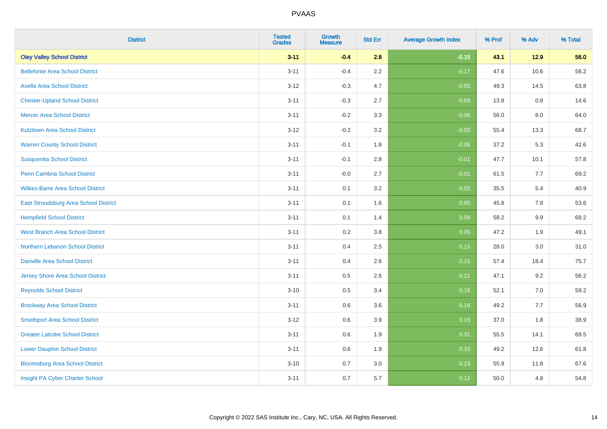| <b>District</b>                          | <b>Tested</b><br><b>Grades</b> | <b>Growth</b><br><b>Measure</b> | <b>Std Err</b> | <b>Average Growth Index</b> | % Prof | % Adv   | % Total |
|------------------------------------------|--------------------------------|---------------------------------|----------------|-----------------------------|--------|---------|---------|
| <b>Oley Valley School District</b>       | $3 - 11$                       | $-0.4$                          | 2.8            | $-0.15$                     | 43.1   | 12.9    | 56.0    |
| <b>Bellefonte Area School District</b>   | $3 - 11$                       | $-0.4$                          | 2.2            | $-0.17$                     | 47.6   | 10.6    | 58.2    |
| <b>Avella Area School District</b>       | $3 - 12$                       | $-0.3$                          | 4.7            | $-0.05$                     | 49.3   | 14.5    | 63.8    |
| <b>Chester-Upland School District</b>    | $3 - 11$                       | $-0.3$                          | 2.7            | $-0.09$                     | 13.8   | $0.8\,$ | 14.6    |
| <b>Mercer Area School District</b>       | $3 - 11$                       | $-0.2$                          | 3.3            | $-0.06$                     | 56.0   | 8.0     | 64.0    |
| <b>Kutztown Area School District</b>     | $3 - 12$                       | $-0.2$                          | 3.2            | $-0.05$                     | 55.4   | 13.3    | 68.7    |
| <b>Warren County School District</b>     | $3 - 11$                       | $-0.1$                          | 1.8            | $-0.06$                     | 37.2   | 5.3     | 42.6    |
| <b>Susquenita School District</b>        | $3 - 11$                       | $-0.1$                          | 2.8            | $-0.01$                     | 47.7   | 10.1    | 57.8    |
| Penn Cambria School District             | $3 - 11$                       | $-0.0$                          | 2.7            | $-0.01$                     | 61.5   | 7.7     | 69.2    |
| <b>Wilkes-Barre Area School District</b> | $3 - 11$                       | 0.1                             | $3.2\,$        | 0.02                        | 35.5   | 5.4     | 40.9    |
| East Stroudsburg Area School District    | $3 - 11$                       | 0.1                             | 1.6            | 0.05                        | 45.8   | 7.8     | 53.6    |
| <b>Hempfield School District</b>         | $3 - 11$                       | 0.1                             | 1.4            | 0.08                        | 58.2   | 9.9     | 68.2    |
| <b>West Branch Area School District</b>  | $3 - 11$                       | 0.2                             | 3.8            | 0.05                        | 47.2   | 1.9     | 49.1    |
| Northern Lebanon School District         | $3 - 11$                       | 0.4                             | 2.5            | 0.15                        | 28.0   | 3.0     | 31.0    |
| <b>Danville Area School District</b>     | $3 - 11$                       | 0.4                             | 2.6            | 0.15                        | 57.4   | 18.4    | 75.7    |
| <b>Jersey Shore Area School District</b> | $3 - 11$                       | 0.5                             | 2.6            | 0.21                        | 47.1   | 9.2     | 56.2    |
| <b>Reynolds School District</b>          | $3 - 10$                       | 0.5                             | 3.4            | 0.16                        | 52.1   | 7.0     | 59.2    |
| <b>Brockway Area School District</b>     | $3 - 11$                       | 0.6                             | 3.6            | 0.16                        | 49.2   | 7.7     | 56.9    |
| <b>Smethport Area School District</b>    | $3 - 12$                       | 0.6                             | 3.9            | 0.15                        | 37.0   | 1.8     | 38.9    |
| <b>Greater Latrobe School District</b>   | $3 - 11$                       | 0.6                             | 1.9            | 0.31                        | 55.5   | 14.1    | 69.5    |
| <b>Lower Dauphin School District</b>     | $3 - 11$                       | 0.6                             | 1.9            | 0.33                        | 49.2   | 12.6    | 61.8    |
| <b>Bloomsburg Area School District</b>   | $3 - 10$                       | 0.7                             | 3.0            | 0.23                        | 55.9   | 11.8    | 67.6    |
| Insight PA Cyber Charter School          | $3 - 11$                       | 0.7                             | 5.7            | 0.12                        | 50.0   | 4.8     | 54.8    |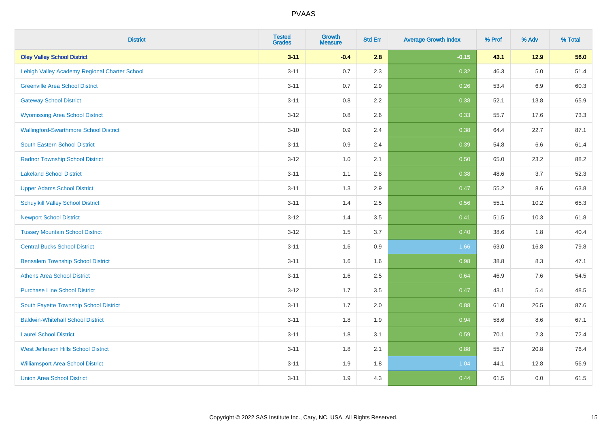| <b>District</b>                               | <b>Tested</b><br><b>Grades</b> | <b>Growth</b><br><b>Measure</b> | <b>Std Err</b> | <b>Average Growth Index</b> | % Prof | % Adv   | % Total |
|-----------------------------------------------|--------------------------------|---------------------------------|----------------|-----------------------------|--------|---------|---------|
| <b>Oley Valley School District</b>            | $3 - 11$                       | $-0.4$                          | 2.8            | $-0.15$                     | 43.1   | 12.9    | 56.0    |
| Lehigh Valley Academy Regional Charter School | $3 - 11$                       | 0.7                             | 2.3            | 0.32                        | 46.3   | $5.0\,$ | 51.4    |
| <b>Greenville Area School District</b>        | $3 - 11$                       | 0.7                             | 2.9            | 0.26                        | 53.4   | 6.9     | 60.3    |
| <b>Gateway School District</b>                | $3 - 11$                       | 0.8                             | 2.2            | 0.38                        | 52.1   | 13.8    | 65.9    |
| <b>Wyomissing Area School District</b>        | $3 - 12$                       | 0.8                             | 2.6            | 0.33                        | 55.7   | 17.6    | 73.3    |
| <b>Wallingford-Swarthmore School District</b> | $3 - 10$                       | 0.9                             | 2.4            | 0.38                        | 64.4   | 22.7    | 87.1    |
| South Eastern School District                 | $3 - 11$                       | 0.9                             | 2.4            | 0.39                        | 54.8   | 6.6     | 61.4    |
| <b>Radnor Township School District</b>        | $3 - 12$                       | 1.0                             | 2.1            | 0.50                        | 65.0   | 23.2    | 88.2    |
| <b>Lakeland School District</b>               | $3 - 11$                       | 1.1                             | 2.8            | 0.38                        | 48.6   | 3.7     | 52.3    |
| <b>Upper Adams School District</b>            | $3 - 11$                       | 1.3                             | 2.9            | 0.47                        | 55.2   | 8.6     | 63.8    |
| <b>Schuylkill Valley School District</b>      | $3 - 11$                       | 1.4                             | 2.5            | 0.56                        | 55.1   | 10.2    | 65.3    |
| <b>Newport School District</b>                | $3 - 12$                       | 1.4                             | 3.5            | 0.41                        | 51.5   | 10.3    | 61.8    |
| <b>Tussey Mountain School District</b>        | $3 - 12$                       | 1.5                             | 3.7            | 0.40                        | 38.6   | $1.8$   | 40.4    |
| <b>Central Bucks School District</b>          | $3 - 11$                       | 1.6                             | 0.9            | 1.66                        | 63.0   | 16.8    | 79.8    |
| <b>Bensalem Township School District</b>      | $3 - 11$                       | 1.6                             | 1.6            | 0.98                        | 38.8   | 8.3     | 47.1    |
| <b>Athens Area School District</b>            | $3 - 11$                       | 1.6                             | 2.5            | 0.64                        | 46.9   | 7.6     | 54.5    |
| <b>Purchase Line School District</b>          | $3 - 12$                       | 1.7                             | 3.5            | 0.47                        | 43.1   | 5.4     | 48.5    |
| South Fayette Township School District        | $3 - 11$                       | 1.7                             | 2.0            | 0.88                        | 61.0   | 26.5    | 87.6    |
| <b>Baldwin-Whitehall School District</b>      | $3 - 11$                       | 1.8                             | 1.9            | 0.94                        | 58.6   | 8.6     | 67.1    |
| <b>Laurel School District</b>                 | $3 - 11$                       | 1.8                             | 3.1            | 0.59                        | 70.1   | 2.3     | 72.4    |
| West Jefferson Hills School District          | $3 - 11$                       | 1.8                             | 2.1            | 0.88                        | 55.7   | 20.8    | 76.4    |
| <b>Williamsport Area School District</b>      | $3 - 11$                       | 1.9                             | 1.8            | 1.04                        | 44.1   | 12.8    | 56.9    |
| <b>Union Area School District</b>             | $3 - 11$                       | 1.9                             | 4.3            | 0.44                        | 61.5   | 0.0     | 61.5    |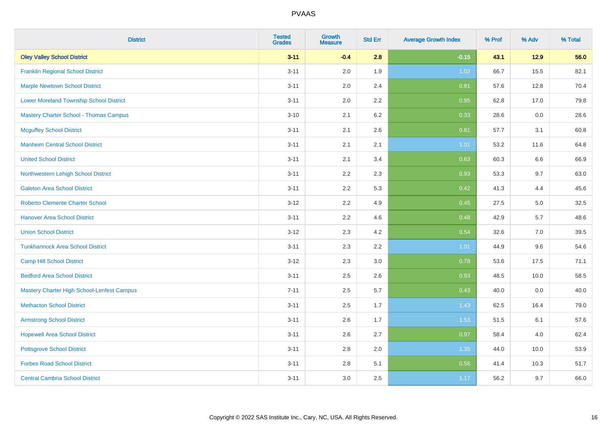| <b>District</b>                                | <b>Tested</b><br><b>Grades</b> | <b>Growth</b><br><b>Measure</b> | <b>Std Err</b> | <b>Average Growth Index</b> | % Prof | % Adv  | % Total |
|------------------------------------------------|--------------------------------|---------------------------------|----------------|-----------------------------|--------|--------|---------|
| <b>Oley Valley School District</b>             | $3 - 11$                       | $-0.4$                          | 2.8            | $-0.15$                     | 43.1   | $12.9$ | 56.0    |
| <b>Franklin Regional School District</b>       | $3 - 11$                       | 2.0                             | 1.9            | 1.02                        | 66.7   | 15.5   | 82.1    |
| <b>Marple Newtown School District</b>          | $3 - 11$                       | 2.0                             | 2.4            | 0.81                        | 57.6   | 12.8   | 70.4    |
| <b>Lower Moreland Township School District</b> | $3 - 11$                       | 2.0                             | 2.2            | 0.95                        | 62.8   | 17.0   | 79.8    |
| <b>Mastery Charter School - Thomas Campus</b>  | $3 - 10$                       | 2.1                             | 6.2            | 0.33                        | 28.6   | 0.0    | 28.6    |
| <b>Mcguffey School District</b>                | $3 - 11$                       | 2.1                             | 2.6            | 0.81                        | 57.7   | 3.1    | 60.8    |
| <b>Manheim Central School District</b>         | $3 - 11$                       | 2.1                             | 2.1            | $1.01$                      | 53.2   | 11.6   | 64.8    |
| <b>United School District</b>                  | $3 - 11$                       | 2.1                             | 3.4            | 0.63                        | 60.3   | 6.6    | 66.9    |
| Northwestern Lehigh School District            | $3 - 11$                       | 2.2                             | 2.3            | 0.93                        | 53.3   | 9.7    | 63.0    |
| <b>Galeton Area School District</b>            | $3 - 11$                       | 2.2                             | 5.3            | 0.42                        | 41.3   | 4.4    | 45.6    |
| <b>Roberto Clemente Charter School</b>         | $3 - 12$                       | 2.2                             | 4.9            | 0.45                        | 27.5   | 5.0    | 32.5    |
| <b>Hanover Area School District</b>            | $3 - 11$                       | 2.2                             | 4.6            | 0.48                        | 42.9   | 5.7    | 48.6    |
| <b>Union School District</b>                   | $3 - 12$                       | 2.3                             | 4.2            | 0.54                        | 32.6   | 7.0    | 39.5    |
| <b>Tunkhannock Area School District</b>        | $3 - 11$                       | 2.3                             | 2.2            | 1.01                        | 44.9   | 9.6    | 54.6    |
| <b>Camp Hill School District</b>               | $3 - 12$                       | 2.3                             | 3.0            | 0.78                        | 53.6   | 17.5   | 71.1    |
| <b>Bedford Area School District</b>            | $3 - 11$                       | 2.5                             | 2.6            | 0.93                        | 48.5   | 10.0   | 58.5    |
| Mastery Charter High School-Lenfest Campus     | $7 - 11$                       | 2.5                             | 5.7            | 0.43                        | 40.0   | 0.0    | 40.0    |
| <b>Methacton School District</b>               | $3 - 11$                       | 2.5                             | 1.7            | 1.43                        | 62.5   | 16.4   | 79.0    |
| <b>Armstrong School District</b>               | $3 - 11$                       | 2.6                             | 1.7            | 1.53                        | 51.5   | 6.1    | 57.6    |
| <b>Hopewell Area School District</b>           | $3 - 11$                       | 2.6                             | 2.7            | 0.97                        | 58.4   | 4.0    | 62.4    |
| <b>Pottsgrove School District</b>              | $3 - 11$                       | 2.8                             | 2.0            | 1.35                        | 44.0   | 10.0   | 53.9    |
| <b>Forbes Road School District</b>             | $3 - 11$                       | 2.8                             | 5.1            | 0.56                        | 41.4   | 10.3   | 51.7    |
| <b>Central Cambria School District</b>         | $3 - 11$                       | 3.0                             | 2.5            | 1.17                        | 56.2   | 9.7    | 66.0    |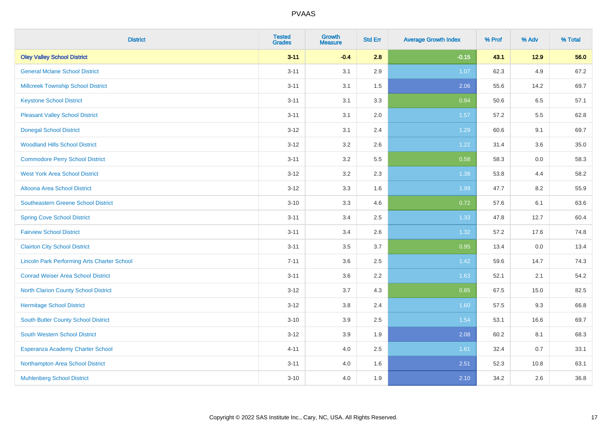| <b>District</b>                                    | <b>Tested</b><br><b>Grades</b> | <b>Growth</b><br><b>Measure</b> | <b>Std Err</b> | <b>Average Growth Index</b> | % Prof | % Adv | % Total |
|----------------------------------------------------|--------------------------------|---------------------------------|----------------|-----------------------------|--------|-------|---------|
| <b>Oley Valley School District</b>                 | $3 - 11$                       | $-0.4$                          | 2.8            | $-0.15$                     | 43.1   | 12.9  | 56.0    |
| <b>General Mclane School District</b>              | $3 - 11$                       | 3.1                             | 2.9            | 1.07                        | 62.3   | 4.9   | 67.2    |
| <b>Millcreek Township School District</b>          | $3 - 11$                       | 3.1                             | 1.5            | 2.06                        | 55.6   | 14.2  | 69.7    |
| <b>Keystone School District</b>                    | $3 - 11$                       | 3.1                             | 3.3            | 0.94                        | 50.6   | 6.5   | 57.1    |
| <b>Pleasant Valley School District</b>             | $3 - 11$                       | 3.1                             | 2.0            | 1.57                        | 57.2   | 5.5   | 62.8    |
| <b>Donegal School District</b>                     | $3 - 12$                       | 3.1                             | 2.4            | 1.29                        | 60.6   | 9.1   | 69.7    |
| <b>Woodland Hills School District</b>              | $3 - 12$                       | 3.2                             | 2.6            | 1.22                        | 31.4   | 3.6   | 35.0    |
| <b>Commodore Perry School District</b>             | $3 - 11$                       | 3.2                             | 5.5            | 0.58                        | 58.3   | 0.0   | 58.3    |
| <b>West York Area School District</b>              | $3 - 12$                       | 3.2                             | 2.3            | 1.38                        | 53.8   | 4.4   | 58.2    |
| Altoona Area School District                       | $3 - 12$                       | 3.3                             | 1.6            | 1.99                        | 47.7   | 8.2   | 55.9    |
| <b>Southeastern Greene School District</b>         | $3 - 10$                       | 3.3                             | 4.6            | 0.72                        | 57.6   | 6.1   | 63.6    |
| <b>Spring Cove School District</b>                 | $3 - 11$                       | 3.4                             | 2.5            | 1.33                        | 47.8   | 12.7  | 60.4    |
| <b>Fairview School District</b>                    | $3 - 11$                       | 3.4                             | 2.6            | 1.32                        | 57.2   | 17.6  | 74.8    |
| <b>Clairton City School District</b>               | $3 - 11$                       | 3.5                             | 3.7            | 0.95                        | 13.4   | 0.0   | 13.4    |
| <b>Lincoln Park Performing Arts Charter School</b> | $7 - 11$                       | 3.6                             | 2.5            | 1.42                        | 59.6   | 14.7  | 74.3    |
| <b>Conrad Weiser Area School District</b>          | $3 - 11$                       | 3.6                             | 2.2            | 1.63                        | 52.1   | 2.1   | 54.2    |
| <b>North Clarion County School District</b>        | $3 - 12$                       | 3.7                             | 4.3            | 0.85                        | 67.5   | 15.0  | 82.5    |
| <b>Hermitage School District</b>                   | $3 - 12$                       | 3.8                             | 2.4            | 1.60                        | 57.5   | 9.3   | 66.8    |
| <b>South Butler County School District</b>         | $3 - 10$                       | 3.9                             | 2.5            | 1.54                        | 53.1   | 16.6  | 69.7    |
| South Western School District                      | $3-12$                         | 3.9                             | 1.9            | 2.08                        | 60.2   | 8.1   | 68.3    |
| Esperanza Academy Charter School                   | $4 - 11$                       | 4.0                             | 2.5            | 1.61                        | 32.4   | 0.7   | 33.1    |
| Northampton Area School District                   | $3 - 11$                       | 4.0                             | 1.6            | 2.51                        | 52.3   | 10.8  | 63.1    |
| <b>Muhlenberg School District</b>                  | $3 - 10$                       | 4.0                             | 1.9            | 2.10                        | 34.2   | 2.6   | 36.8    |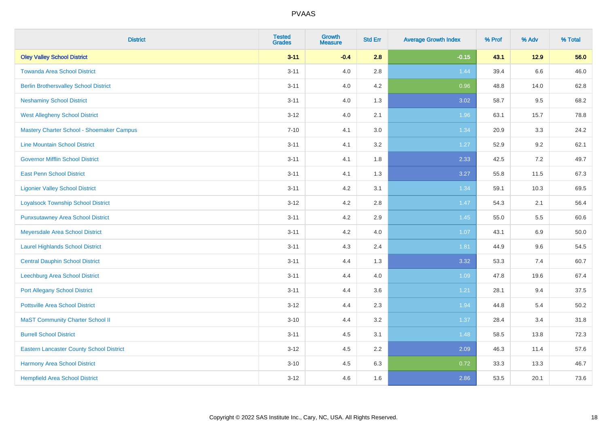| <b>District</b>                                 | <b>Tested</b><br><b>Grades</b> | <b>Growth</b><br><b>Measure</b> | <b>Std Err</b> | <b>Average Growth Index</b> | % Prof | % Adv | % Total |
|-------------------------------------------------|--------------------------------|---------------------------------|----------------|-----------------------------|--------|-------|---------|
| <b>Oley Valley School District</b>              | $3 - 11$                       | $-0.4$                          | 2.8            | $-0.15$                     | 43.1   | 12.9  | 56.0    |
| <b>Towanda Area School District</b>             | $3 - 11$                       | 4.0                             | 2.8            | 1.44                        | 39.4   | 6.6   | 46.0    |
| <b>Berlin Brothersvalley School District</b>    | $3 - 11$                       | 4.0                             | 4.2            | 0.96                        | 48.8   | 14.0  | 62.8    |
| <b>Neshaminy School District</b>                | $3 - 11$                       | 4.0                             | 1.3            | 3.02                        | 58.7   | 9.5   | 68.2    |
| <b>West Allegheny School District</b>           | $3 - 12$                       | 4.0                             | 2.1            | 1.96                        | 63.1   | 15.7  | 78.8    |
| Mastery Charter School - Shoemaker Campus       | $7 - 10$                       | 4.1                             | 3.0            | 1.34                        | 20.9   | 3.3   | 24.2    |
| <b>Line Mountain School District</b>            | $3 - 11$                       | 4.1                             | 3.2            | 1.27                        | 52.9   | 9.2   | 62.1    |
| <b>Governor Mifflin School District</b>         | $3 - 11$                       | 4.1                             | 1.8            | 2.33                        | 42.5   | 7.2   | 49.7    |
| <b>East Penn School District</b>                | $3 - 11$                       | 4.1                             | 1.3            | 3.27                        | 55.8   | 11.5  | 67.3    |
| <b>Ligonier Valley School District</b>          | $3 - 11$                       | 4.2                             | 3.1            | 1.34                        | 59.1   | 10.3  | 69.5    |
| <b>Loyalsock Township School District</b>       | $3 - 12$                       | 4.2                             | 2.8            | 1.47                        | 54.3   | 2.1   | 56.4    |
| <b>Punxsutawney Area School District</b>        | $3 - 11$                       | 4.2                             | 2.9            | 1.45                        | 55.0   | 5.5   | 60.6    |
| Meyersdale Area School District                 | $3 - 11$                       | $4.2\,$                         | 4.0            | 1.07                        | 43.1   | 6.9   | 50.0    |
| <b>Laurel Highlands School District</b>         | $3 - 11$                       | 4.3                             | 2.4            | 1.81                        | 44.9   | 9.6   | 54.5    |
| <b>Central Dauphin School District</b>          | $3 - 11$                       | 4.4                             | 1.3            | 3.32                        | 53.3   | 7.4   | 60.7    |
| Leechburg Area School District                  | $3 - 11$                       | 4.4                             | 4.0            | 1.09                        | 47.8   | 19.6  | 67.4    |
| <b>Port Allegany School District</b>            | $3 - 11$                       | 4.4                             | 3.6            | 1.21                        | 28.1   | 9.4   | 37.5    |
| <b>Pottsville Area School District</b>          | $3 - 12$                       | 4.4                             | 2.3            | 1.94                        | 44.8   | 5.4   | 50.2    |
| <b>MaST Community Charter School II</b>         | $3 - 10$                       | 4.4                             | 3.2            | 1.37                        | 28.4   | 3.4   | 31.8    |
| <b>Burrell School District</b>                  | $3 - 11$                       | 4.5                             | 3.1            | 1.48                        | 58.5   | 13.8  | 72.3    |
| <b>Eastern Lancaster County School District</b> | $3 - 12$                       | 4.5                             | 2.2            | 2.09                        | 46.3   | 11.4  | 57.6    |
| <b>Harmony Area School District</b>             | $3 - 10$                       | 4.5                             | 6.3            | 0.72                        | 33.3   | 13.3  | 46.7    |
| <b>Hempfield Area School District</b>           | $3 - 12$                       | 4.6                             | 1.6            | 2.86                        | 53.5   | 20.1  | 73.6    |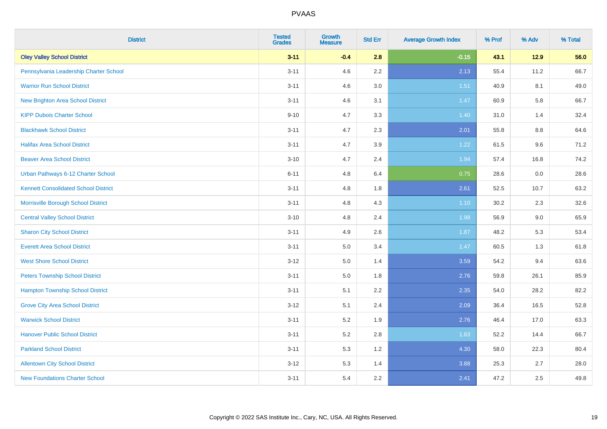| <b>District</b>                             | <b>Tested</b><br><b>Grades</b> | <b>Growth</b><br><b>Measure</b> | <b>Std Err</b> | <b>Average Growth Index</b> | % Prof | % Adv | % Total |
|---------------------------------------------|--------------------------------|---------------------------------|----------------|-----------------------------|--------|-------|---------|
| <b>Oley Valley School District</b>          | $3 - 11$                       | $-0.4$                          | 2.8            | $-0.15$                     | 43.1   | 12.9  | 56.0    |
| Pennsylvania Leadership Charter School      | $3 - 11$                       | 4.6                             | $2.2\,$        | 2.13                        | 55.4   | 11.2  | 66.7    |
| <b>Warrior Run School District</b>          | $3 - 11$                       | 4.6                             | 3.0            | 1.51                        | 40.9   | 8.1   | 49.0    |
| <b>New Brighton Area School District</b>    | $3 - 11$                       | 4.6                             | 3.1            | 1.47                        | 60.9   | 5.8   | 66.7    |
| <b>KIPP Dubois Charter School</b>           | $9 - 10$                       | 4.7                             | 3.3            | 1.40                        | 31.0   | 1.4   | 32.4    |
| <b>Blackhawk School District</b>            | $3 - 11$                       | 4.7                             | 2.3            | 2.01                        | 55.8   | 8.8   | 64.6    |
| <b>Halifax Area School District</b>         | $3 - 11$                       | 4.7                             | 3.9            | 1.22                        | 61.5   | 9.6   | 71.2    |
| <b>Beaver Area School District</b>          | $3 - 10$                       | 4.7                             | 2.4            | 1.94                        | 57.4   | 16.8  | 74.2    |
| Urban Pathways 6-12 Charter School          | $6 - 11$                       | 4.8                             | 6.4            | 0.75                        | 28.6   | 0.0   | 28.6    |
| <b>Kennett Consolidated School District</b> | $3 - 11$                       | 4.8                             | 1.8            | 2.61                        | 52.5   | 10.7  | 63.2    |
| Morrisville Borough School District         | $3 - 11$                       | 4.8                             | 4.3            | $1.10$                      | 30.2   | 2.3   | 32.6    |
| <b>Central Valley School District</b>       | $3 - 10$                       | 4.8                             | 2.4            | 1.98                        | 56.9   | 9.0   | 65.9    |
| <b>Sharon City School District</b>          | $3 - 11$                       | 4.9                             | 2.6            | 1.87                        | 48.2   | 5.3   | 53.4    |
| <b>Everett Area School District</b>         | $3 - 11$                       | $5.0\,$                         | 3.4            | 1.47                        | 60.5   | 1.3   | 61.8    |
| <b>West Shore School District</b>           | $3 - 12$                       | 5.0                             | 1.4            | 3.59                        | 54.2   | 9.4   | 63.6    |
| <b>Peters Township School District</b>      | $3 - 11$                       | 5.0                             | 1.8            | 2.76                        | 59.8   | 26.1  | 85.9    |
| <b>Hampton Township School District</b>     | $3 - 11$                       | 5.1                             | 2.2            | 2.35                        | 54.0   | 28.2  | 82.2    |
| <b>Grove City Area School District</b>      | $3 - 12$                       | 5.1                             | 2.4            | 2.09                        | 36.4   | 16.5  | 52.8    |
| <b>Warwick School District</b>              | $3 - 11$                       | 5.2                             | 1.9            | 2.76                        | 46.4   | 17.0  | 63.3    |
| <b>Hanover Public School District</b>       | $3 - 11$                       | 5.2                             | 2.8            | 1.83                        | 52.2   | 14.4  | 66.7    |
| <b>Parkland School District</b>             | $3 - 11$                       | 5.3                             | 1.2            | 4.30                        | 58.0   | 22.3  | 80.4    |
| <b>Allentown City School District</b>       | $3 - 12$                       | 5.3                             | 1.4            | 3.88                        | 25.3   | 2.7   | 28.0    |
| <b>New Foundations Charter School</b>       | $3 - 11$                       | 5.4                             | 2.2            | 2.41                        | 47.2   | 2.5   | 49.8    |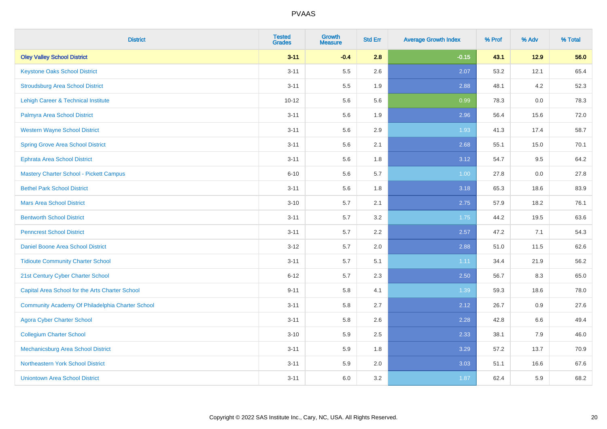| <b>District</b>                                  | <b>Tested</b><br><b>Grades</b> | <b>Growth</b><br><b>Measure</b> | <b>Std Err</b> | <b>Average Growth Index</b> | % Prof | % Adv  | % Total |
|--------------------------------------------------|--------------------------------|---------------------------------|----------------|-----------------------------|--------|--------|---------|
| <b>Oley Valley School District</b>               | $3 - 11$                       | $-0.4$                          | 2.8            | $-0.15$                     | 43.1   | $12.9$ | 56.0    |
| <b>Keystone Oaks School District</b>             | $3 - 11$                       | 5.5                             | 2.6            | 2.07                        | 53.2   | 12.1   | 65.4    |
| <b>Stroudsburg Area School District</b>          | $3 - 11$                       | $5.5\,$                         | 1.9            | 2.88                        | 48.1   | 4.2    | 52.3    |
| Lehigh Career & Technical Institute              | $10 - 12$                      | 5.6                             | 5.6            | 0.99                        | 78.3   | 0.0    | 78.3    |
| Palmyra Area School District                     | $3 - 11$                       | 5.6                             | 1.9            | 2.96                        | 56.4   | 15.6   | 72.0    |
| <b>Western Wayne School District</b>             | $3 - 11$                       | 5.6                             | 2.9            | 1.93                        | 41.3   | 17.4   | 58.7    |
| <b>Spring Grove Area School District</b>         | $3 - 11$                       | 5.6                             | 2.1            | 2.68                        | 55.1   | 15.0   | 70.1    |
| <b>Ephrata Area School District</b>              | $3 - 11$                       | 5.6                             | 1.8            | 3.12                        | 54.7   | 9.5    | 64.2    |
| Mastery Charter School - Pickett Campus          | $6 - 10$                       | 5.6                             | 5.7            | 1.00                        | 27.8   | 0.0    | 27.8    |
| <b>Bethel Park School District</b>               | $3 - 11$                       | $5.6\,$                         | 1.8            | 3.18                        | 65.3   | 18.6   | 83.9    |
| <b>Mars Area School District</b>                 | $3 - 10$                       | 5.7                             | 2.1            | 2.75                        | 57.9   | 18.2   | 76.1    |
| <b>Bentworth School District</b>                 | $3 - 11$                       | 5.7                             | 3.2            | 1.75                        | 44.2   | 19.5   | 63.6    |
| <b>Penncrest School District</b>                 | $3 - 11$                       | 5.7                             | 2.2            | 2.57                        | 47.2   | 7.1    | 54.3    |
| Daniel Boone Area School District                | $3 - 12$                       | 5.7                             | 2.0            | 2.88                        | 51.0   | 11.5   | 62.6    |
| <b>Tidioute Community Charter School</b>         | $3 - 11$                       | 5.7                             | 5.1            | 1.11                        | 34.4   | 21.9   | 56.2    |
| 21st Century Cyber Charter School                | $6 - 12$                       | 5.7                             | 2.3            | 2.50                        | 56.7   | 8.3    | 65.0    |
| Capital Area School for the Arts Charter School  | $9 - 11$                       | 5.8                             | 4.1            | 1.39                        | 59.3   | 18.6   | 78.0    |
| Community Academy Of Philadelphia Charter School | $3 - 11$                       | 5.8                             | 2.7            | 2.12                        | 26.7   | 0.9    | 27.6    |
| <b>Agora Cyber Charter School</b>                | $3 - 11$                       | 5.8                             | 2.6            | 2.28                        | 42.8   | 6.6    | 49.4    |
| <b>Collegium Charter School</b>                  | $3 - 10$                       | 5.9                             | 2.5            | 2.33                        | 38.1   | 7.9    | 46.0    |
| Mechanicsburg Area School District               | $3 - 11$                       | 5.9                             | 1.8            | 3.29                        | 57.2   | 13.7   | 70.9    |
| Northeastern York School District                | $3 - 11$                       | 5.9                             | 2.0            | 3.03                        | 51.1   | 16.6   | 67.6    |
| <b>Uniontown Area School District</b>            | $3 - 11$                       | 6.0                             | 3.2            | 1.87                        | 62.4   | 5.9    | 68.2    |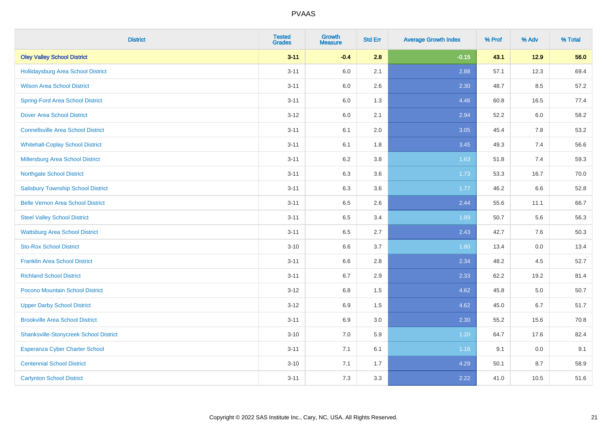| <b>District</b>                               | <b>Tested</b><br><b>Grades</b> | <b>Growth</b><br><b>Measure</b> | <b>Std Err</b> | <b>Average Growth Index</b> | % Prof | % Adv | % Total |
|-----------------------------------------------|--------------------------------|---------------------------------|----------------|-----------------------------|--------|-------|---------|
| <b>Oley Valley School District</b>            | $3 - 11$                       | $-0.4$                          | 2.8            | $-0.15$                     | 43.1   | 12.9  | 56.0    |
| Hollidaysburg Area School District            | $3 - 11$                       | 6.0                             | 2.1            | 2.88                        | 57.1   | 12.3  | 69.4    |
| <b>Wilson Area School District</b>            | $3 - 11$                       | 6.0                             | 2.6            | 2.30                        | 48.7   | 8.5   | 57.2    |
| <b>Spring-Ford Area School District</b>       | $3 - 11$                       | $6.0\,$                         | 1.3            | 4.46                        | 60.8   | 16.5  | 77.4    |
| <b>Dover Area School District</b>             | $3 - 12$                       | 6.0                             | 2.1            | 2.94                        | 52.2   | 6.0   | 58.2    |
| <b>Connellsville Area School District</b>     | $3 - 11$                       | 6.1                             | 2.0            | 3.05                        | 45.4   | 7.8   | 53.2    |
| <b>Whitehall-Coplay School District</b>       | $3 - 11$                       | 6.1                             | 1.8            | 3.45                        | 49.3   | 7.4   | 56.6    |
| <b>Millersburg Area School District</b>       | $3 - 11$                       | 6.2                             | 3.8            | 1.63                        | 51.8   | 7.4   | 59.3    |
| <b>Northgate School District</b>              | $3 - 11$                       | 6.3                             | 3.6            | 1.73                        | 53.3   | 16.7  | 70.0    |
| <b>Salisbury Township School District</b>     | $3 - 11$                       | 6.3                             | 3.6            | 1.77                        | 46.2   | 6.6   | 52.8    |
| <b>Belle Vernon Area School District</b>      | $3 - 11$                       | 6.5                             | 2.6            | 2.44                        | 55.6   | 11.1  | 66.7    |
| <b>Steel Valley School District</b>           | $3 - 11$                       | 6.5                             | 3.4            | 1.89                        | 50.7   | 5.6   | 56.3    |
| <b>Wattsburg Area School District</b>         | $3 - 11$                       | 6.5                             | 2.7            | 2.43                        | 42.7   | 7.6   | 50.3    |
| <b>Sto-Rox School District</b>                | $3 - 10$                       | 6.6                             | 3.7            | 1.80                        | 13.4   | 0.0   | 13.4    |
| <b>Franklin Area School District</b>          | $3 - 11$                       | 6.6                             | 2.8            | 2.34                        | 48.2   | 4.5   | 52.7    |
| <b>Richland School District</b>               | $3 - 11$                       | 6.7                             | 2.9            | 2.33                        | 62.2   | 19.2  | 81.4    |
| Pocono Mountain School District               | $3 - 12$                       | 6.8                             | 1.5            | 4.62                        | 45.8   | 5.0   | 50.7    |
| <b>Upper Darby School District</b>            | $3 - 12$                       | 6.9                             | 1.5            | 4.62                        | 45.0   | 6.7   | 51.7    |
| <b>Brookville Area School District</b>        | $3 - 11$                       | 6.9                             | 3.0            | 2.30                        | 55.2   | 15.6  | 70.8    |
| <b>Shanksville-Stonycreek School District</b> | $3 - 10$                       | 7.0                             | 5.9            | 1.20                        | 64.7   | 17.6  | 82.4    |
| <b>Esperanza Cyber Charter School</b>         | $3 - 11$                       | 7.1                             | 6.1            | 1.16                        | 9.1    | 0.0   | 9.1     |
| <b>Centennial School District</b>             | $3 - 10$                       | 7.1                             | 1.7            | 4.29                        | 50.1   | 8.7   | 58.9    |
| <b>Carlynton School District</b>              | $3 - 11$                       | 7.3                             | 3.3            | 2.22                        | 41.0   | 10.5  | 51.6    |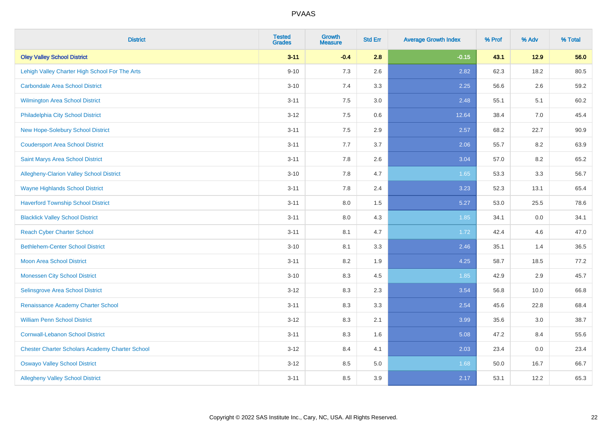| <b>District</b>                                        | <b>Tested</b><br><b>Grades</b> | <b>Growth</b><br><b>Measure</b> | <b>Std Err</b> | <b>Average Growth Index</b> | % Prof | % Adv | % Total |
|--------------------------------------------------------|--------------------------------|---------------------------------|----------------|-----------------------------|--------|-------|---------|
| <b>Oley Valley School District</b>                     | $3 - 11$                       | $-0.4$                          | 2.8            | $-0.15$                     | 43.1   | 12.9  | 56.0    |
| Lehigh Valley Charter High School For The Arts         | $9 - 10$                       | 7.3                             | 2.6            | 2.82                        | 62.3   | 18.2  | 80.5    |
| <b>Carbondale Area School District</b>                 | $3 - 10$                       | 7.4                             | 3.3            | 2.25                        | 56.6   | 2.6   | 59.2    |
| <b>Wilmington Area School District</b>                 | $3 - 11$                       | 7.5                             | 3.0            | 2.48                        | 55.1   | 5.1   | 60.2    |
| Philadelphia City School District                      | $3 - 12$                       | 7.5                             | 0.6            | 12.64                       | 38.4   | 7.0   | 45.4    |
| New Hope-Solebury School District                      | $3 - 11$                       | 7.5                             | 2.9            | 2.57                        | 68.2   | 22.7  | 90.9    |
| <b>Coudersport Area School District</b>                | $3 - 11$                       | 7.7                             | 3.7            | 2.06                        | 55.7   | 8.2   | 63.9    |
| <b>Saint Marys Area School District</b>                | $3 - 11$                       | 7.8                             | 2.6            | 3.04                        | 57.0   | 8.2   | 65.2    |
| Allegheny-Clarion Valley School District               | $3 - 10$                       | 7.8                             | 4.7            | 1.65                        | 53.3   | 3.3   | 56.7    |
| <b>Wayne Highlands School District</b>                 | $3 - 11$                       | 7.8                             | 2.4            | 3.23                        | 52.3   | 13.1  | 65.4    |
| <b>Haverford Township School District</b>              | $3 - 11$                       | 8.0                             | 1.5            | 5.27                        | 53.0   | 25.5  | 78.6    |
| <b>Blacklick Valley School District</b>                | $3 - 11$                       | 8.0                             | 4.3            | 1.85                        | 34.1   | 0.0   | 34.1    |
| <b>Reach Cyber Charter School</b>                      | $3 - 11$                       | 8.1                             | 4.7            | 1.72                        | 42.4   | 4.6   | 47.0    |
| <b>Bethlehem-Center School District</b>                | $3 - 10$                       | 8.1                             | 3.3            | 2.46                        | 35.1   | 1.4   | 36.5    |
| <b>Moon Area School District</b>                       | $3 - 11$                       | 8.2                             | 1.9            | 4.25                        | 58.7   | 18.5  | 77.2    |
| <b>Monessen City School District</b>                   | $3 - 10$                       | 8.3                             | 4.5            | 1.85                        | 42.9   | 2.9   | 45.7    |
| Selinsgrove Area School District                       | $3 - 12$                       | 8.3                             | 2.3            | 3.54                        | 56.8   | 10.0  | 66.8    |
| Renaissance Academy Charter School                     | $3 - 11$                       | 8.3                             | 3.3            | 2.54                        | 45.6   | 22.8  | 68.4    |
| <b>William Penn School District</b>                    | $3 - 12$                       | 8.3                             | 2.1            | 3.99                        | 35.6   | 3.0   | 38.7    |
| <b>Cornwall-Lebanon School District</b>                | $3 - 11$                       | 8.3                             | 1.6            | 5.08                        | 47.2   | 8.4   | 55.6    |
| <b>Chester Charter Scholars Academy Charter School</b> | $3 - 12$                       | 8.4                             | 4.1            | 2.03                        | 23.4   | 0.0   | 23.4    |
| <b>Oswayo Valley School District</b>                   | $3 - 12$                       | 8.5                             | 5.0            | 1.68                        | 50.0   | 16.7  | 66.7    |
| <b>Allegheny Valley School District</b>                | $3 - 11$                       | 8.5                             | 3.9            | 2.17                        | 53.1   | 12.2  | 65.3    |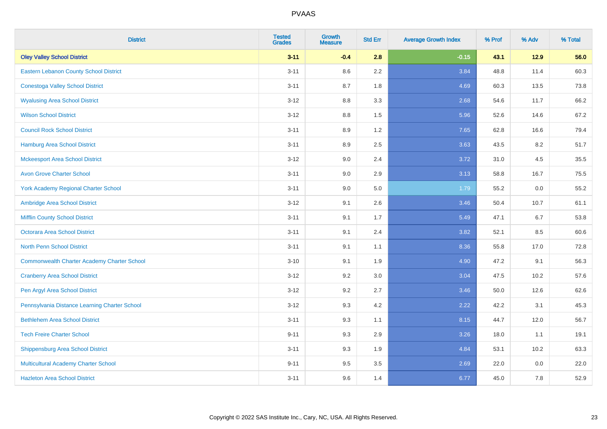| <b>District</b>                                    | <b>Tested</b><br><b>Grades</b> | <b>Growth</b><br><b>Measure</b> | <b>Std Err</b> | <b>Average Growth Index</b> | % Prof | % Adv  | % Total |
|----------------------------------------------------|--------------------------------|---------------------------------|----------------|-----------------------------|--------|--------|---------|
| <b>Oley Valley School District</b>                 | $3 - 11$                       | $-0.4$                          | 2.8            | $-0.15$                     | 43.1   | $12.9$ | 56.0    |
| <b>Eastern Lebanon County School District</b>      | $3 - 11$                       | 8.6                             | 2.2            | 3.84                        | 48.8   | 11.4   | 60.3    |
| <b>Conestoga Valley School District</b>            | $3 - 11$                       | 8.7                             | 1.8            | 4.69                        | 60.3   | 13.5   | 73.8    |
| <b>Wyalusing Area School District</b>              | $3 - 12$                       | $8.8\,$                         | 3.3            | 2.68                        | 54.6   | 11.7   | 66.2    |
| <b>Wilson School District</b>                      | $3 - 12$                       | 8.8                             | 1.5            | 5.96                        | 52.6   | 14.6   | 67.2    |
| <b>Council Rock School District</b>                | $3 - 11$                       | 8.9                             | 1.2            | 7.65                        | 62.8   | 16.6   | 79.4    |
| <b>Hamburg Area School District</b>                | $3 - 11$                       | 8.9                             | 2.5            | 3.63                        | 43.5   | 8.2    | 51.7    |
| <b>Mckeesport Area School District</b>             | $3 - 12$                       | 9.0                             | 2.4            | 3.72                        | 31.0   | 4.5    | 35.5    |
| <b>Avon Grove Charter School</b>                   | $3 - 11$                       | 9.0                             | 2.9            | 3.13                        | 58.8   | 16.7   | 75.5    |
| <b>York Academy Regional Charter School</b>        | $3 - 11$                       | 9.0                             | 5.0            | 1.79                        | 55.2   | 0.0    | 55.2    |
| Ambridge Area School District                      | $3 - 12$                       | 9.1                             | 2.6            | 3.46                        | 50.4   | 10.7   | 61.1    |
| <b>Mifflin County School District</b>              | $3 - 11$                       | 9.1                             | 1.7            | 5.49                        | 47.1   | 6.7    | 53.8    |
| Octorara Area School District                      | $3 - 11$                       | 9.1                             | 2.4            | 3.82                        | 52.1   | 8.5    | 60.6    |
| <b>North Penn School District</b>                  | $3 - 11$                       | 9.1                             | 1.1            | 8.36                        | 55.8   | 17.0   | 72.8    |
| <b>Commonwealth Charter Academy Charter School</b> | $3 - 10$                       | 9.1                             | 1.9            | 4.90                        | 47.2   | 9.1    | 56.3    |
| <b>Cranberry Area School District</b>              | $3 - 12$                       | 9.2                             | 3.0            | 3.04                        | 47.5   | 10.2   | 57.6    |
| Pen Argyl Area School District                     | $3-12$                         | 9.2                             | 2.7            | 3.46                        | 50.0   | 12.6   | 62.6    |
| Pennsylvania Distance Learning Charter School      | $3-12$                         | 9.3                             | 4.2            | 2.22                        | 42.2   | 3.1    | 45.3    |
| <b>Bethlehem Area School District</b>              | $3 - 11$                       | 9.3                             | 1.1            | 8.15                        | 44.7   | 12.0   | 56.7    |
| <b>Tech Freire Charter School</b>                  | $9 - 11$                       | 9.3                             | 2.9            | 3.26                        | 18.0   | 1.1    | 19.1    |
| <b>Shippensburg Area School District</b>           | $3 - 11$                       | 9.3                             | 1.9            | 4.84                        | 53.1   | 10.2   | 63.3    |
| Multicultural Academy Charter School               | $9 - 11$                       | 9.5                             | 3.5            | 2.69                        | 22.0   | 0.0    | 22.0    |
| <b>Hazleton Area School District</b>               | $3 - 11$                       | 9.6                             | 1.4            | 6.77                        | 45.0   | 7.8    | 52.9    |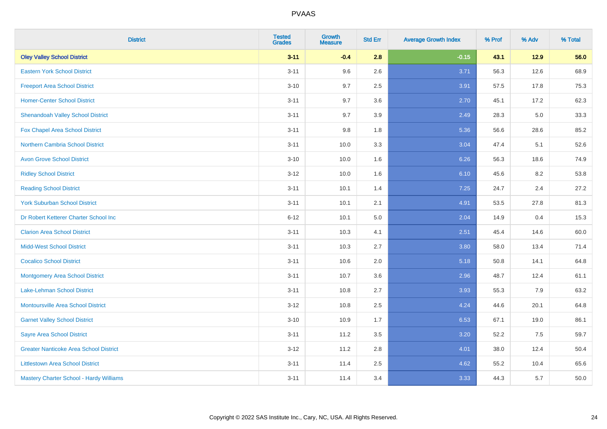| <b>District</b>                               | <b>Tested</b><br><b>Grades</b> | <b>Growth</b><br><b>Measure</b> | <b>Std Err</b> | <b>Average Growth Index</b> | % Prof | % Adv | % Total |
|-----------------------------------------------|--------------------------------|---------------------------------|----------------|-----------------------------|--------|-------|---------|
| <b>Oley Valley School District</b>            | $3 - 11$                       | $-0.4$                          | 2.8            | $-0.15$                     | 43.1   | 12.9  | 56.0    |
| <b>Eastern York School District</b>           | $3 - 11$                       | 9.6                             | 2.6            | 3.71                        | 56.3   | 12.6  | 68.9    |
| <b>Freeport Area School District</b>          | $3 - 10$                       | 9.7                             | 2.5            | 3.91                        | 57.5   | 17.8  | 75.3    |
| <b>Homer-Center School District</b>           | $3 - 11$                       | 9.7                             | 3.6            | 2.70                        | 45.1   | 17.2  | 62.3    |
| <b>Shenandoah Valley School District</b>      | $3 - 11$                       | 9.7                             | 3.9            | 2.49                        | 28.3   | 5.0   | 33.3    |
| <b>Fox Chapel Area School District</b>        | $3 - 11$                       | 9.8                             | 1.8            | 5.36                        | 56.6   | 28.6  | 85.2    |
| <b>Northern Cambria School District</b>       | $3 - 11$                       | 10.0                            | 3.3            | 3.04                        | 47.4   | 5.1   | 52.6    |
| <b>Avon Grove School District</b>             | $3 - 10$                       | 10.0                            | 1.6            | 6.26                        | 56.3   | 18.6  | 74.9    |
| <b>Ridley School District</b>                 | $3 - 12$                       | 10.0                            | 1.6            | 6.10                        | 45.6   | 8.2   | 53.8    |
| <b>Reading School District</b>                | $3 - 11$                       | 10.1                            | 1.4            | 7.25                        | 24.7   | 2.4   | 27.2    |
| <b>York Suburban School District</b>          | $3 - 11$                       | 10.1                            | 2.1            | 4.91                        | 53.5   | 27.8  | 81.3    |
| Dr Robert Ketterer Charter School Inc         | $6 - 12$                       | 10.1                            | 5.0            | 2.04                        | 14.9   | 0.4   | 15.3    |
| <b>Clarion Area School District</b>           | $3 - 11$                       | 10.3                            | 4.1            | 2.51                        | 45.4   | 14.6  | 60.0    |
| <b>Midd-West School District</b>              | $3 - 11$                       | 10.3                            | 2.7            | 3.80                        | 58.0   | 13.4  | 71.4    |
| <b>Cocalico School District</b>               | $3 - 11$                       | 10.6                            | 2.0            | 5.18                        | 50.8   | 14.1  | 64.8    |
| <b>Montgomery Area School District</b>        | $3 - 11$                       | 10.7                            | 3.6            | 2.96                        | 48.7   | 12.4  | 61.1    |
| Lake-Lehman School District                   | $3 - 11$                       | 10.8                            | 2.7            | 3.93                        | 55.3   | 7.9   | 63.2    |
| <b>Montoursville Area School District</b>     | $3 - 12$                       | 10.8                            | 2.5            | 4.24                        | 44.6   | 20.1  | 64.8    |
| <b>Garnet Valley School District</b>          | $3 - 10$                       | 10.9                            | 1.7            | 6.53                        | 67.1   | 19.0  | 86.1    |
| <b>Sayre Area School District</b>             | $3 - 11$                       | 11.2                            | 3.5            | 3.20                        | 52.2   | 7.5   | 59.7    |
| <b>Greater Nanticoke Area School District</b> | $3-12$                         | 11.2                            | 2.8            | 4.01                        | 38.0   | 12.4  | 50.4    |
| <b>Littlestown Area School District</b>       | $3 - 11$                       | 11.4                            | 2.5            | 4.62                        | 55.2   | 10.4  | 65.6    |
| Mastery Charter School - Hardy Williams       | $3 - 11$                       | 11.4                            | 3.4            | 3.33                        | 44.3   | 5.7   | 50.0    |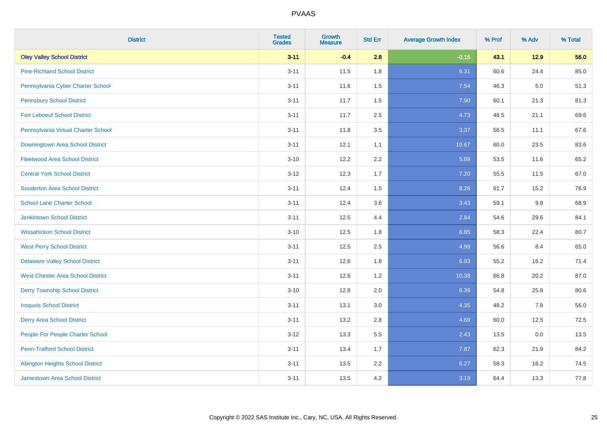| <b>District</b>                          | <b>Tested</b><br><b>Grades</b> | <b>Growth</b><br><b>Measure</b> | <b>Std Err</b> | <b>Average Growth Index</b> | % Prof | % Adv   | % Total |
|------------------------------------------|--------------------------------|---------------------------------|----------------|-----------------------------|--------|---------|---------|
| <b>Oley Valley School District</b>       | $3 - 11$                       | $-0.4$                          | 2.8            | $-0.15$                     | 43.1   | $12.9$  | 56.0    |
| <b>Pine-Richland School District</b>     | $3 - 11$                       | 11.5                            | 1.8            | 6.31                        | 60.6   | 24.4    | 85.0    |
| Pennsylvania Cyber Charter School        | $3 - 11$                       | 11.6                            | 1.5            | 7.54                        | 46.3   | $5.0\,$ | 51.3    |
| <b>Pennsbury School District</b>         | $3 - 11$                       | 11.7                            | 1.5            | 7.90                        | 60.1   | 21.3    | 81.3    |
| <b>Fort Leboeuf School District</b>      | $3 - 11$                       | 11.7                            | 2.5            | 4.73                        | 48.5   | 21.1    | 69.6    |
| Pennsylvania Virtual Charter School      | $3 - 11$                       | 11.8                            | 3.5            | 3.37                        | 56.5   | 11.1    | 67.6    |
| <b>Downingtown Area School District</b>  | $3 - 11$                       | 12.1                            | 1.1            | 10.67                       | 60.0   | 23.5    | 83.6    |
| <b>Fleetwood Area School District</b>    | $3 - 10$                       | 12.2                            | 2.2            | 5.68                        | 53.5   | 11.6    | 65.2    |
| <b>Central York School District</b>      | $3 - 12$                       | 12.3                            | 1.7            | 7.20                        | 55.5   | 11.5    | 67.0    |
| <b>Souderton Area School District</b>    | $3 - 11$                       | 12.4                            | 1.5            | 8.28                        | 61.7   | 15.2    | 76.9    |
| <b>School Lane Charter School</b>        | $3 - 11$                       | 12.4                            | 3.6            | 3.43                        | 59.1   | 9.8     | 68.9    |
| <b>Jenkintown School District</b>        | $3 - 11$                       | 12.5                            | 4.4            | 2.84                        | 54.6   | 29.6    | 84.1    |
| <b>Wissahickon School District</b>       | $3 - 10$                       | 12.5                            | 1.8            | 6.85                        | 58.3   | 22.4    | 80.7    |
| <b>West Perry School District</b>        | $3 - 11$                       | 12.5                            | 2.5            | 4.99                        | 56.6   | 8.4     | 65.0    |
| <b>Delaware Valley School District</b>   | $3 - 11$                       | 12.6                            | 1.8            | 6.93                        | 55.2   | 16.2    | 71.4    |
| <b>West Chester Area School District</b> | $3 - 11$                       | 12.6                            | 1.2            | 10.38                       | 66.8   | 20.2    | 87.0    |
| <b>Derry Township School District</b>    | $3 - 10$                       | 12.8                            | 2.0            | 6.39                        | 54.8   | 25.8    | 80.6    |
| <b>Iroquois School District</b>          | $3 - 11$                       | 13.1                            | 3.0            | 4.35                        | 48.2   | 7.8     | 56.0    |
| <b>Derry Area School District</b>        | $3 - 11$                       | 13.2                            | 2.8            | 4.69                        | 60.0   | 12.5    | 72.5    |
| People For People Charter School         | $3 - 12$                       | 13.3                            | 5.5            | 2.43                        | 13.5   | 0.0     | 13.5    |
| <b>Penn-Trafford School District</b>     | $3 - 11$                       | 13.4                            | 1.7            | 7.87                        | 62.3   | 21.9    | 84.2    |
| <b>Abington Heights School District</b>  | $3 - 11$                       | 13.5                            | 2.2            | 6.27                        | 58.3   | 16.2    | 74.5    |
| <b>Jamestown Area School District</b>    | $3 - 11$                       | 13.5                            | 4.2            | 3.19                        | 64.4   | 13.3    | 77.8    |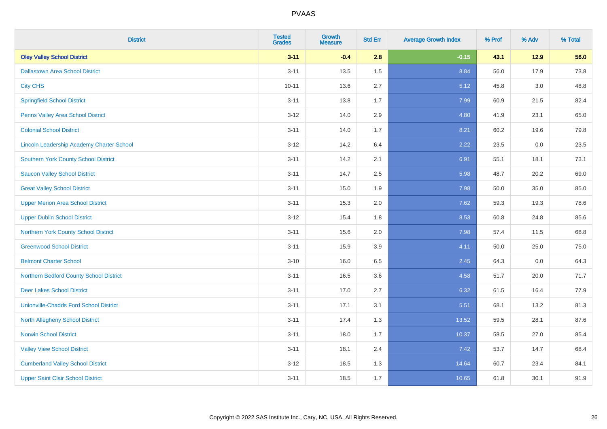| <b>District</b>                               | <b>Tested</b><br><b>Grades</b> | <b>Growth</b><br><b>Measure</b> | <b>Std Err</b> | <b>Average Growth Index</b> | % Prof | % Adv   | % Total |
|-----------------------------------------------|--------------------------------|---------------------------------|----------------|-----------------------------|--------|---------|---------|
| <b>Oley Valley School District</b>            | $3 - 11$                       | $-0.4$                          | 2.8            | $-0.15$                     | 43.1   | $12.9$  | 56.0    |
| <b>Dallastown Area School District</b>        | $3 - 11$                       | 13.5                            | 1.5            | 8.84                        | 56.0   | 17.9    | 73.8    |
| <b>City CHS</b>                               | $10 - 11$                      | 13.6                            | 2.7            | 5.12                        | 45.8   | 3.0     | 48.8    |
| <b>Springfield School District</b>            | $3 - 11$                       | 13.8                            | 1.7            | 7.99                        | 60.9   | 21.5    | 82.4    |
| Penns Valley Area School District             | $3 - 12$                       | 14.0                            | 2.9            | 4.80                        | 41.9   | 23.1    | 65.0    |
| <b>Colonial School District</b>               | $3 - 11$                       | 14.0                            | 1.7            | 8.21                        | 60.2   | 19.6    | 79.8    |
| Lincoln Leadership Academy Charter School     | $3 - 12$                       | 14.2                            | 6.4            | 2.22                        | 23.5   | $0.0\,$ | 23.5    |
| <b>Southern York County School District</b>   | $3 - 11$                       | 14.2                            | 2.1            | 6.91                        | 55.1   | 18.1    | 73.1    |
| <b>Saucon Valley School District</b>          | $3 - 11$                       | 14.7                            | 2.5            | 5.98                        | 48.7   | 20.2    | 69.0    |
| <b>Great Valley School District</b>           | $3 - 11$                       | 15.0                            | 1.9            | 7.98                        | 50.0   | 35.0    | 85.0    |
| <b>Upper Merion Area School District</b>      | $3 - 11$                       | 15.3                            | 2.0            | 7.62                        | 59.3   | 19.3    | 78.6    |
| <b>Upper Dublin School District</b>           | $3 - 12$                       | 15.4                            | 1.8            | 8.53                        | 60.8   | 24.8    | 85.6    |
| Northern York County School District          | $3 - 11$                       | 15.6                            | 2.0            | 7.98                        | 57.4   | 11.5    | 68.8    |
| <b>Greenwood School District</b>              | $3 - 11$                       | 15.9                            | 3.9            | 4.11                        | 50.0   | 25.0    | 75.0    |
| <b>Belmont Charter School</b>                 | $3 - 10$                       | 16.0                            | 6.5            | 2.45                        | 64.3   | 0.0     | 64.3    |
| Northern Bedford County School District       | $3 - 11$                       | 16.5                            | 3.6            | 4.58                        | 51.7   | 20.0    | 71.7    |
| <b>Deer Lakes School District</b>             | $3 - 11$                       | 17.0                            | 2.7            | 6.32                        | 61.5   | 16.4    | 77.9    |
| <b>Unionville-Chadds Ford School District</b> | $3 - 11$                       | 17.1                            | 3.1            | 5.51                        | 68.1   | 13.2    | 81.3    |
| <b>North Allegheny School District</b>        | $3 - 11$                       | 17.4                            | 1.3            | 13.52                       | 59.5   | 28.1    | 87.6    |
| <b>Norwin School District</b>                 | $3 - 11$                       | 18.0                            | 1.7            | 10.37                       | 58.5   | 27.0    | 85.4    |
| <b>Valley View School District</b>            | $3 - 11$                       | 18.1                            | 2.4            | 7.42                        | 53.7   | 14.7    | 68.4    |
| <b>Cumberland Valley School District</b>      | $3 - 12$                       | 18.5                            | 1.3            | 14.64                       | 60.7   | 23.4    | 84.1    |
| <b>Upper Saint Clair School District</b>      | $3 - 11$                       | 18.5                            | 1.7            | 10.65                       | 61.8   | 30.1    | 91.9    |